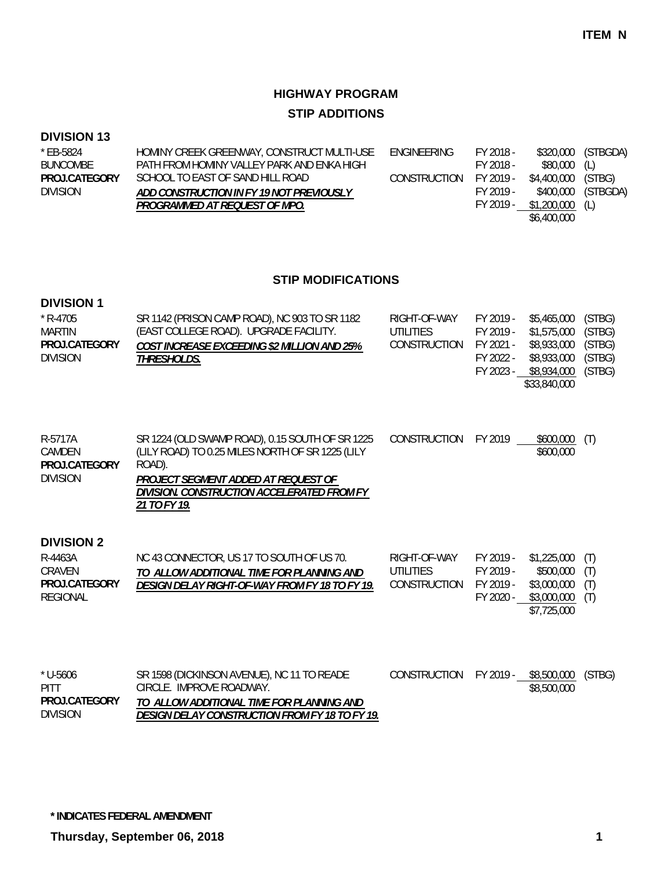## **HIGHWAY PROGRAM STIP ADDITIONS**

### **DIVISION 13**

| * FB-5824       | HOMINY CREEK GREENWAY, CONSTRUCT MULTI-USE | ENGINEERING            | FY 2018 - |                    | \$320,000 (STBGDA) |
|-----------------|--------------------------------------------|------------------------|-----------|--------------------|--------------------|
| <b>BUNCOMBE</b> | PATH FROM HOMINY VALLEY PARK AND ENKA HIGH |                        | FY 2018 - | $$80,000$ (L)      |                    |
| PROJ.CATEGORY   | SCHOOL TO EAST OF SAND HILL ROAD           | CONSTRUCTION FY 2019 - |           | \$4,400,000 (STBG) |                    |
| <b>DIVISION</b> | ADD CONSTRUCTION IN FY 19 NOT PREVIOUSLY   |                        | FY 2019 - |                    | \$400,000 (STBGDA) |
|                 | PROGRAMMED AT REQUEST OF MPO.              |                        | FY 2019 - | $$1,200,000$ (L)   |                    |
|                 |                                            |                        |           | \$6,400,000        |                    |

#### **STIP MODIFICATIONS**

#### **DIVISION 1**

| SR 1142 (PRISON CAMP ROAD), NC 903 TO SR 1182      | RIGHT-OF-WAY | FY 2019 - | \$5,465,000  | (STBG) |
|----------------------------------------------------|--------------|-----------|--------------|--------|
| (EAST COLLEGE ROAD). UPGRADE FACILITY.             | UTILITIES    | FY 2019 - | \$1,575,000  | (STBG) |
| <b>COST INCREASE EXCEEDING \$2 MILLION AND 25%</b> | CONSTRUCTION |           | \$8,933,000  | (STBG) |
| <i>THRESHOLDS.</i>                                 |              | FY 2022 - | \$8,933,000  | (STBG) |
|                                                    |              | FY 2023 - | \$8,934,000  | (STBG) |
|                                                    |              |           | \$33,840,000 |        |
|                                                    |              |           | FY 2021 -    |        |

| R-5717A         | SR 1224 (OLD SWAMP ROAD), 0.15 SOUTH OF SR 1225  | CONSTRUCTION | FY 2019 | \$600,000 |
|-----------------|--------------------------------------------------|--------------|---------|-----------|
| CAMDEN          | (LILY ROAD) TO 0.25 MILES NORTH OF SR 1225 (LILY |              |         | \$600,000 |
| PROJ.CATEGORY   | ROAD).                                           |              |         |           |
| <b>DIVISION</b> | PROJECT SEGMENT ADDED AT REQUEST OF              |              |         |           |
|                 | DIVISION. CONSTRUCTION ACCELERATED FROM FY       |              |         |           |
|                 | 21 TO FY 19.                                     |              |         |           |

#### **DIVISION 2**

| R-4463A       | NC 43 CONNECTOR, US 17 TO SOUTH OF US 70.      | RIGHT-OF-WAY | FY 2019 - | $$1,225,000$ (T) |  |
|---------------|------------------------------------------------|--------------|-----------|------------------|--|
| CRAVEN        | TO ALLOW ADDITIONAL TIME FOR PLANNING AND      | UTILITIES    | FY 2019 - | $$500,000$ (T)   |  |
| PROJ.CATEGORY | DESIGN DELAY RIGHT-OF-WAY FROM FY 18 TO FY 19. | CONSTRUCTION | FY 2019 - | $$3,000,000$ (T) |  |
| REGIONAL      |                                                |              | FY 2020 - | \$3,000,000 (T)  |  |
|               |                                                |              |           | \$7,725,000      |  |

| * U-5606      | SR 1598 (DICKINSON AVENUE), NC 11 TO READE     | CONSTRUCTION FY 2019 - \$8,500,000 (STBG) |             |  |
|---------------|------------------------------------------------|-------------------------------------------|-------------|--|
| PITT          | CIRCLE. IMPROVE ROADWAY.                       |                                           | \$8,500,000 |  |
| PROJ.CATEGORY | TO ALLOW ADDITIONAL TIME FOR PLANNING AND      |                                           |             |  |
| Division      | DESIGN DELAY CONSTRUCTION FROM FY 18 TO FY 19. |                                           |             |  |

**\* INDICATES FEDERAL AMENDMENT**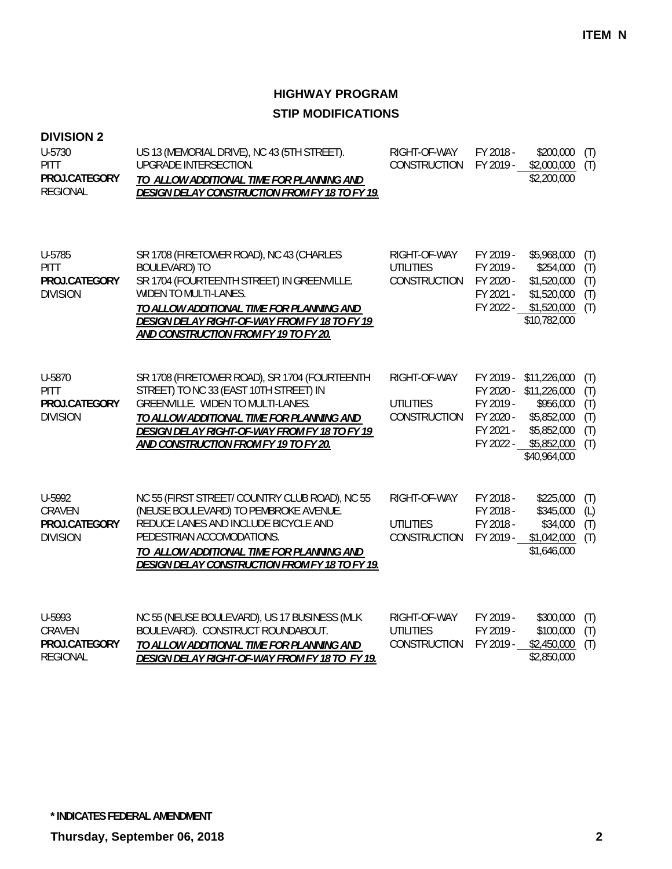### **DIVISION 2**

| U-5730<br>PITT<br>PROJ.CATEGORY<br><b>REGIONAL</b>        | US 13 (MEMORIAL DRIVE), NC 43 (5TH STREET).<br>UPGRADE INTERSECTION.<br>TO ALLOW ADDITIONAL TIME FOR PLANNING AND<br><b>DESIGN DELAY CONSTRUCTION FROM FY 18 TO FY 19.</b>                                                                                                     | RIGHT-OF-WAY<br>CONSTRUCTION                     | FY 2018 -<br>FY 2019 -                                                     | \$200,000<br>\$2,000,000<br>\$2,200,000                                                                                                   | (T)<br>(T)                             |
|-----------------------------------------------------------|--------------------------------------------------------------------------------------------------------------------------------------------------------------------------------------------------------------------------------------------------------------------------------|--------------------------------------------------|----------------------------------------------------------------------------|-------------------------------------------------------------------------------------------------------------------------------------------|----------------------------------------|
| U-5785<br><b>PITT</b><br>PROJ.CATEGORY<br><b>DIVISION</b> | SR 1708 (FIRETOWER ROAD), NC 43 (CHARLES<br><b>BOULEVARD) TO</b><br>SR 1704 (FOURTEENTH STREET) IN GREENVILLE.<br>WIDEN TO MULTI-LANES.<br>TO ALLOW ADDITIONAL TIME FOR PLANNING AND<br>DESIGN DELAY RIGHT-OF-WAY FROM FY 18 TO FY 19<br>AND CONSTRUCTION FROM FY 19 TO FY 20. | RIGHT-OF-WAY<br><b>UTILITIES</b><br>CONSTRUCTION | FY 2019 -<br>FY 2019 -<br>FY 2020 -<br>FY 2021 -<br>FY 2022 -              | \$5,968,000<br>\$254,000<br>\$1,520,000<br>\$1,520,000<br>\$1,520,000<br>\$10,782,000                                                     | (T)<br>(T)<br>(T)<br>(T)<br>(T)        |
| U-5870<br><b>PITT</b><br>PROJ.CATEGORY<br><b>DIVISION</b> | SR 1708 (FIRETOWER ROAD), SR 1704 (FOURTEENTH<br>STREET) TO NC 33 (EAST 10TH STREET) IN<br>GREENVILLE. WIDEN TO MULTI-LANES.<br>TO ALLOW ADDITIONAL TIME FOR PLANNING AND<br>DESIGN DELAY RIGHT-OF-WAY FROM FY 18 TO FY 19<br>AND CONSTRUCTION FROM FY 19 TO FY 20.            | RIGHT-OF-WAY<br><b>UTILITIES</b><br>CONSTRUCTION | FY 2019 -<br>FY 2020 -<br>FY 2019 -<br>FY 2020 -<br>FY 2021 -<br>FY 2022 - | \$11,226,000<br>\$11,226,000<br>\$956,000<br>\$5,852,000<br>\$5,852,000<br>\$5,852,000<br>\$40,964,000                                    | (T)<br>(T)<br>(T)<br>(T)<br>(T)<br>(T) |
| U-5992<br>CRAVEN<br>PROJ.CATEGORY<br><b>DIVISION</b>      | NC 55 (FIRST STREET/ COUNTRY CLUB ROAD), NC 55<br>(NEUSE BOULEVARD) TO PEMBROKE AVENUE.<br>REDUCE LANES AND INCLUDE BICYCLE AND<br>PEDESTRIAN ACCOMODATIONS.<br>TO ALLOW ADDITIONAL TIME FOR PLANNING AND<br><b>DESIGN DELAY CONSTRUCTION FROM FY 18 TO FY 19.</b>             | RIGHT-OF-WAY<br><b>UTILITIES</b><br>CONSTRUCTION | FY 2018 -<br>FY 2018 -<br>FY 2018 -<br>FY 2019 -                           | \$225,000<br>\$345,000<br>\$34,000<br>\$1,042,000<br>\$1,646,000                                                                          | (T)<br>(L)<br>(T)<br>(T)               |
| U-5993<br>CRAVEN<br><b>DDAI ASTEAADV</b>                  | NC 55 (NEUSE BOULEVARD), US 17 BUSINESS (MLK<br>BOULEVARD). CONSTRUCT ROUNDABOUT.                                                                                                                                                                                              | RIGHT-OF-WAY<br><b>UTILITIES</b><br>00107010701  | FY 2019 -<br>FY 2019 -<br>T110040                                          | \$300,000<br>\$100,000<br>$\begin{array}{c} \hline \text{A} & \text{A} & \text{B} & \text{B} & \text{B} & \text{B} \\ \hline \end{array}$ | (T)<br>(T)<br>$\sqrt{1}$               |

*TO ALLOW ADDITIONAL TIME FOR PLANNING AND DESIGN DELAY RIGHT-OF-WAY FROM FY 18 TO FY 19.* CONSTRUCTION FY 2019 - \$2,450,000 (T) \$2,850,000 REGIONAL **PROJ.CATEGORY**

**\* INDICATES FEDERAL AMENDMENT**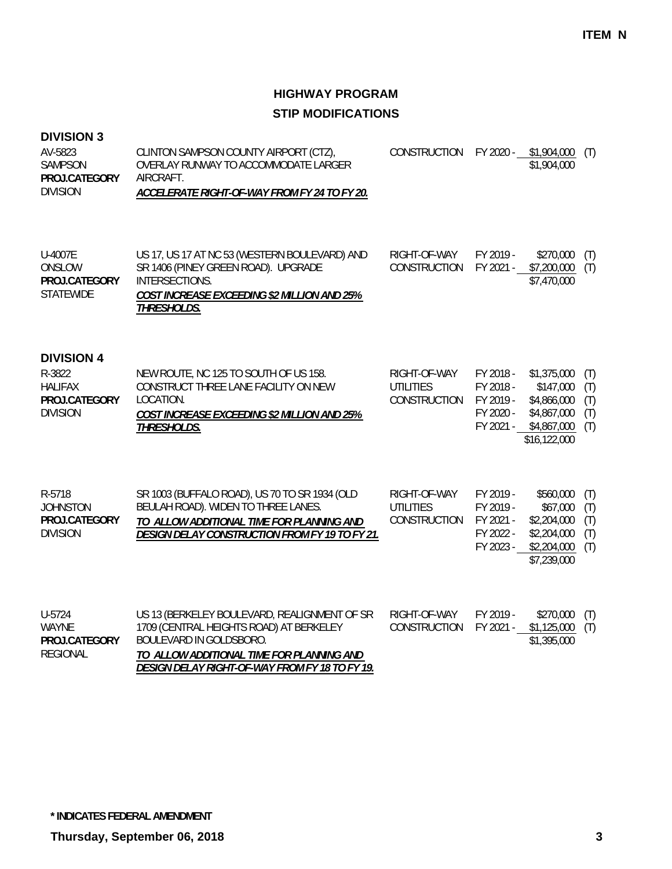### **DIVISION 3**

| AV-5823<br><b>SAMPSON</b><br>PROJ.CATEGORY<br><b>DIVISION</b>                     | CLINTON SAMPSON COUNTY AIRPORT (CTZ),<br>OVERLAY RUNWAY TO ACCOMMODATE LARGER<br>AIRCRAFT.<br>ACCELERATE RIGHT-OF-WAY FROM FY 24 TO FY 20.                                                 | CONSTRUCTION                                     | FY 2020 -                                                     | \$1,904,000<br>\$1,904,000                                                            | (T)                             |
|-----------------------------------------------------------------------------------|--------------------------------------------------------------------------------------------------------------------------------------------------------------------------------------------|--------------------------------------------------|---------------------------------------------------------------|---------------------------------------------------------------------------------------|---------------------------------|
| U-4007E<br>ONSLOW<br>PROJ.CATEGORY<br><b>STATEWIDE</b>                            | US 17, US 17 AT NC 53 (WESTERN BOULEVARD) AND<br>SR 1406 (PINEY GREEN ROAD). UPGRADE<br>INTERSECTIONS.<br>COST INCREASE EXCEEDING \$2 MILLION AND 25%<br>THRESHOLDS.                       | RIGHT-OF-WAY<br>CONSTRUCTION                     | FY 2019 -<br>FY 2021 -                                        | \$270,000<br>\$7,200,000<br>\$7,470,000                                               | (T)<br>(T)                      |
| <b>DIVISION 4</b><br>R-3822<br><b>HALIFAX</b><br>PROJ.CATEGORY<br><b>DIVISION</b> | NEW ROUTE, NC 125 TO SOUTH OF US 158.<br>CONSTRUCT THREE LANE FACILITY ON NEW<br>LOCATION.<br>COST INCREASE EXCEEDING \$2 MILLION AND 25%<br>THRESHOLDS.                                   | RIGHT-OF-WAY<br><b>UTILITIES</b><br>CONSTRUCTION | FY 2018 -<br>FY 2018 -<br>FY 2019 -<br>FY 2020 -<br>FY 2021 - | \$1,375,000<br>\$147,000<br>\$4,866,000<br>\$4,867,000<br>\$4,867,000<br>\$16,122,000 | (T)<br>(T)<br>(T)<br>(T)<br>(T) |
| R-5718<br><b>JOHNSTON</b><br>PROJ.CATEGORY<br><b>DIVISION</b>                     | SR 1003 (BUFFALO ROAD), US 70 TO SR 1934 (OLD<br>BEULAH ROAD). WIDEN TO THREE LANES.<br>TO ALLOW ADDITIONAL TIME FOR PLANNING AND<br><b>DESIGN DELAY CONSTRUCTION FROM FY 19 TO FY 21.</b> | RIGHT-OF-WAY<br><b>UTILITIES</b><br>CONSTRUCTION | FY 2019 -<br>FY 2019 -<br>FY 2021 -<br>FY 2022 -<br>FY 2023 - | \$560,000<br>\$67,000<br>\$2,204,000<br>\$2,204,000<br>\$2,204,000<br>\$7,239,000     | (T)<br>(T)<br>(T)<br>(T)<br>(T) |
| U-5724<br><b>WAYNE</b><br>PROJ.CATEGORY<br><b>REGIONAL</b>                        | US 13 (BERKELEY BOULEVARD, REALIGNMENT OF SR<br>1709 (CENTRAL HEIGHTS ROAD) AT BERKELEY<br>BOULEVARD IN GOLDSBORO.<br>TO ALLOW ADDITIONAL TIME FOR PLANNING AND                            | RIGHT-OF-WAY<br><b>CONSTRUCTION</b>              | FY 2019 -<br>FY 2021 -                                        | \$270,000<br>\$1,125,000<br>\$1,395,000                                               | (T)<br>(T)                      |

*TO ALLOW ADDITIONAL TIME FOR PLANNING AND DESIGN DELAY RIGHT-OF-WAY FROM FY 18 TO FY 19.*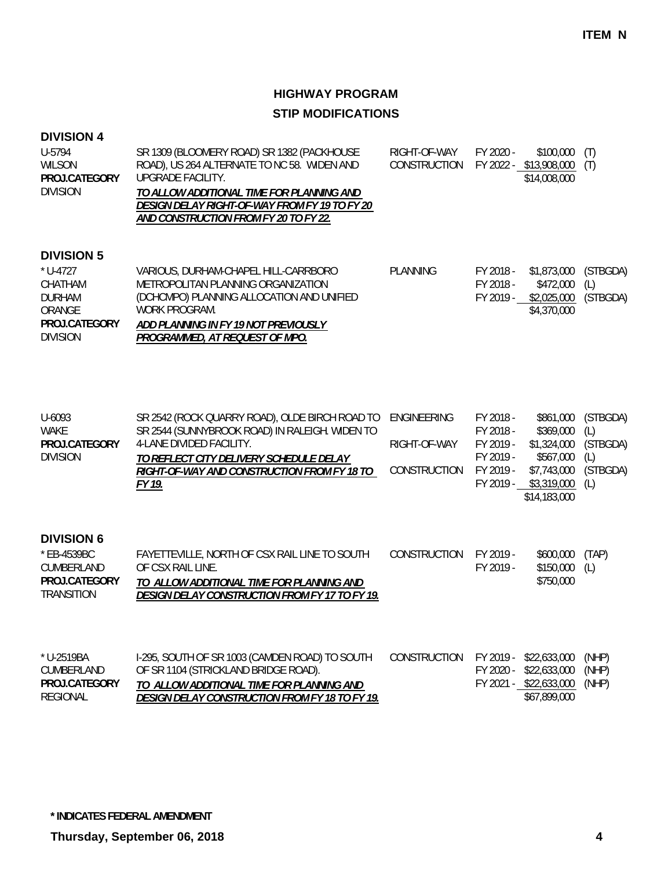| <b>DIVISION 4</b> |  |
|-------------------|--|
|-------------------|--|

| U-5794<br><b>WILSON</b><br>PROJ.CATEGORY<br><b>DIVISION</b>                                               | SR 1309 (BLOOMERY ROAD) SR 1382 (PACKHOUSE<br>ROAD), US 264 ALTERNATE TO NC 58. WIDEN AND<br><b>UPGRADE FACILITY.</b><br>TO ALLOW ADDITIONAL TIME FOR PLANNING AND<br>DESIGN DELAY RIGHT-OF-WAY FROM FY 19 TO FY 20<br>AND CONSTRUCTION FROM FY 20 TO FY 22. | RIGHT-OF-WAY<br>CONSTRUCTION                       | FY 2020 -                                                                  | \$100,000<br>FY 2022 - \$13,908,000<br>\$14,008,000                                              | (T)<br>(T)                                            |
|-----------------------------------------------------------------------------------------------------------|--------------------------------------------------------------------------------------------------------------------------------------------------------------------------------------------------------------------------------------------------------------|----------------------------------------------------|----------------------------------------------------------------------------|--------------------------------------------------------------------------------------------------|-------------------------------------------------------|
| <b>DIVISION 5</b><br>$*$ U-4727<br>CHATHAM<br><b>DURHAM</b><br>ORANGE<br>PROJ.CATEGORY<br><b>DIVISION</b> | VARIOUS, DURHAM-CHAPEL HILL-CARRBORO<br>METROPOLITAN PLANNING ORGANIZATION<br>(DCHCMPO) PLANNING ALLOCATION AND UNIFIED<br>WORK PROGRAM.<br>ADD PLANNING IN FY 19 NOT PREVIOUSLY<br>PROGRAMMED, AT REQUEST OF MPO.                                           | <b>PLANNING</b>                                    | FY 2018 -<br>FY 2018 -<br>FY 2019 -                                        | \$1,873,000<br>\$472,000<br>\$2,025,000<br>\$4,370,000                                           | (STBGDA)<br>(L)<br>(STBGDA)                           |
| U-6093<br>WAKE<br>PROJ.CATEGORY<br><b>DIVISION</b>                                                        | SR 2542 (ROCK QUARRY ROAD), OLDE BIRCH ROAD TO<br>SR 2544 (SUNNYBROOK ROAD) IN RALEIGH. WIDEN TO<br>4-LANE DIVIDED FACILITY.<br>TO REFLECT CITY DELIVERY SCHEDULE DELAY<br>RIGHT-OF-WAY AND CONSTRUCTION FROM FY 18 TO<br>FY 19.                             | <b>ENGINEERING</b><br>RIGHT-OF-WAY<br>CONSTRUCTION | FY 2018 -<br>FY 2018 -<br>FY 2019 -<br>FY 2019 -<br>FY 2019 -<br>FY 2019 - | \$861,000<br>\$369,000<br>\$1,324,000<br>\$567,000<br>\$7,743,000<br>\$3,319,000<br>\$14,183,000 | (STBGDA)<br>(L)<br>(STBGDA)<br>(L)<br>(STBGDA)<br>(L) |
| <b>DIVISION 6</b><br>* EB-4539BC<br>CUMBERLAND<br>PROJ.CATEGORY<br><b>TRANSITION</b>                      | FAYETTEVILLE, NORTH OF CSX RAIL LINE TO SOUTH<br>OF CSX RAIL LINE.<br>TO ALLOW ADDITIONAL TIME FOR PLANNING AND<br>DESIGN DELAY CONSTRUCTION FROM FY 17 TO FY 19.                                                                                            | CONSTRUCTION                                       | FY 2019 -<br>FY 2019 -                                                     | \$600,000<br>\$150,000<br>\$750,000                                                              | (TAP)<br>(L)                                          |
| * U-2519BA<br>CUMBERLAND<br>PROJ.CATEGORY                                                                 | I-295, SOUTH OF SR 1003 (CAMDEN ROAD) TO SOUTH<br>OF SR 1104 (STRICKLAND BRIDGE ROAD).<br>TO ALLOW ADDITIONAL TIME FOR PLANNING AND                                                                                                                          | CONSTRUCTION                                       | FY 2019 -<br>FY 2020 -                                                     | \$22,633,000<br>\$22,633,000<br>FY 2021 - \$22,633,000                                           | (NHP)<br>(NHP)<br>(NHP)                               |

*TO ALLOW ADDITIONAL TIME FOR PLANNING AND DESIGN DELAY CONSTRUCTION FROM FY 18 TO FY 19.* REGIONAL **PROJ.CATEGORY**

**\* INDICATES FEDERAL AMENDMENT**

**Thursday, September 06, 2018 4**

\$67,899,000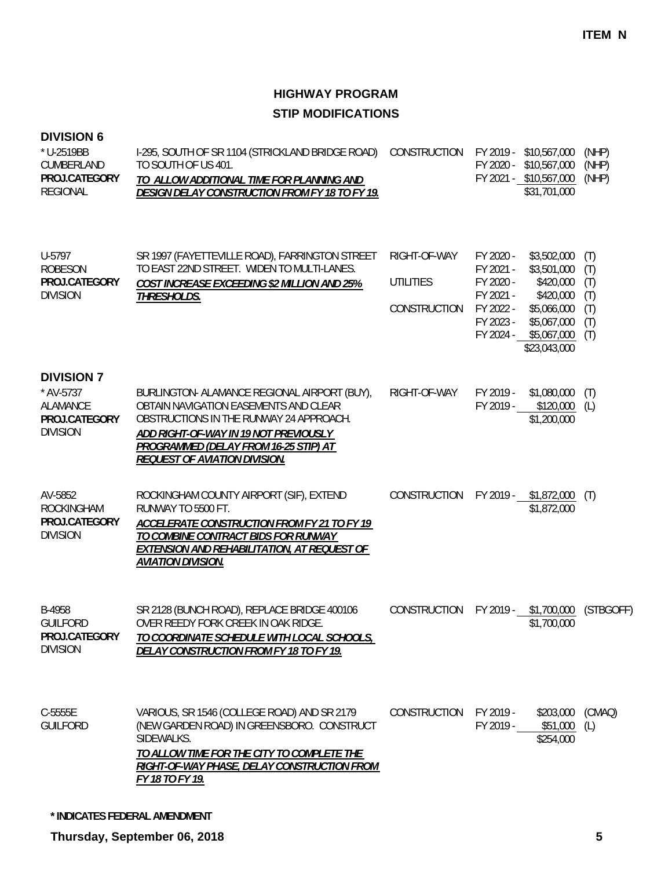#### **DIVISION 6**

| * U-2519BB<br>CUMBERLAND<br>PROJ.CATEGORY<br><b>REGIONAL</b>                          | I-295, SOUTH OF SR 1104 (STRICKLAND BRIDGE ROAD)<br>TO SOUTH OF US 401.<br>TO ALLOW ADDITIONAL TIME FOR PLANNING AND<br>DESIGN DELAY CONSTRUCTION FROM FY 18 TO FY 19.                                                                                     | CONSTRUCTION                                     |                                                                            | FY 2019 - \$10,567,000<br>FY 2020 - \$10,567,000<br>FY 2021 - \$10,567,000<br>\$31,701,000                                  | (NHP)<br>(NHP)<br>(NHP)                       |
|---------------------------------------------------------------------------------------|------------------------------------------------------------------------------------------------------------------------------------------------------------------------------------------------------------------------------------------------------------|--------------------------------------------------|----------------------------------------------------------------------------|-----------------------------------------------------------------------------------------------------------------------------|-----------------------------------------------|
| U-5797<br><b>ROBESON</b><br>PROJ.CATEGORY<br><b>DIVISION</b>                          | SR 1997 (FAYETTEVILLE ROAD), FARRINGTON STREET<br>TO EAST 22ND STREET. WIDEN TO MULTI-LANES.<br><b>COST INCREASE EXCEEDING \$2 MILLION AND 25%</b><br><b>THRESHOLDS.</b>                                                                                   | RIGHT-OF-WAY<br><b>UTILITIES</b><br>CONSTRUCTION | FY 2020 -<br>FY 2021 -<br>FY 2020 -<br>FY 2021 -<br>FY 2022 -<br>FY 2023 - | \$3,502,000<br>\$3,501,000<br>\$420,000<br>\$420,000<br>\$5,066,000<br>\$5,067,000<br>FY 2024 - \$5,067,000<br>\$23,043,000 | (T)<br>(T)<br>(T)<br>(T)<br>(T)<br>(T)<br>(T) |
| <b>DIVISION 7</b><br>* AV-5737<br><b>ALAMANCE</b><br>PROJ.CATEGORY<br><b>DIVISION</b> | BURLINGTON- ALAMANCE REGIONAL AIRPORT (BUY),<br>OBTAIN NAVIGATION EASEMENTS AND CLEAR<br>OBSTRUCTIONS IN THE RUNWAY 24 APPROACH.<br>ADD RIGHT-OF-WAY IN 19 NOT PREVIOUSLY<br>PROGRAMMED (DELAY FROM 16-25 STIP) AT<br><b>REQUEST OF AVIATION DIVISION.</b> | RIGHT-OF-WAY                                     | FY 2019 -<br>FY 2019 -                                                     | \$1,080,000<br>\$120,000<br>\$1,200,000                                                                                     | (T)<br>(L)                                    |
| AV-5852<br><b>ROCKINGHAM</b><br>PROJ.CATEGORY<br><b>DIVISION</b>                      | ROCKINGHAM COUNTY AIRPORT (SIF), EXTEND<br>RUNWAY TO 5500 FT.<br>ACCELERATE CONSTRUCTION FROM FY 21 TO FY 19<br>TO COMBINE CONTRACT BIDS FOR RUNWAY<br><b>EXTENSION AND REHABILITATION, AT REQUEST OF</b><br><b>AVIATION DIVISION.</b>                     | CONSTRUCTION                                     |                                                                            | FY 2019 - \$1,872,000 (T)<br>\$1,872,000                                                                                    |                                               |
| B-4958<br><b>GUILFORD</b><br>PROJ.CATEGORY<br><b>DIVISION</b>                         | SR 2128 (BUNCH ROAD), REPLACE BRIDGE 400106<br>OVER REEDY FORK CREEK IN OAK RIDGE.<br>TO COORDINATE SCHEDULE WITH LOCAL SCHOOLS,<br>DELAY CONSTRUCTION FROM FY 18 TO FY 19.                                                                                | CONSTRUCTION FY 2019 - \$1,700,000               |                                                                            | \$1,700,000                                                                                                                 | (STBGOFF)                                     |
| C-5555E<br><b>GUILFORD</b>                                                            | VARIOUS, SR 1546 (COLLEGE ROAD) AND SR 2179<br>(NEW GARDEN ROAD) IN GREENSBORO. CONSTRUCT<br>SIDEWALKS.<br>TO ALLOW TIME FOR THE CITY TO COMPLETE THE<br>RIGHT-OF-WAY PHASE, DELAY CONSTRUCTION FROM<br>FY 18 TO FY 19.                                    | CONSTRUCTION                                     | FY 2019 -                                                                  | \$203,000<br>FY 2019 - \$51,000<br>\$254,000                                                                                | (CMAQ)<br>(L)                                 |

**\* INDICATES FEDERAL AMENDMENT**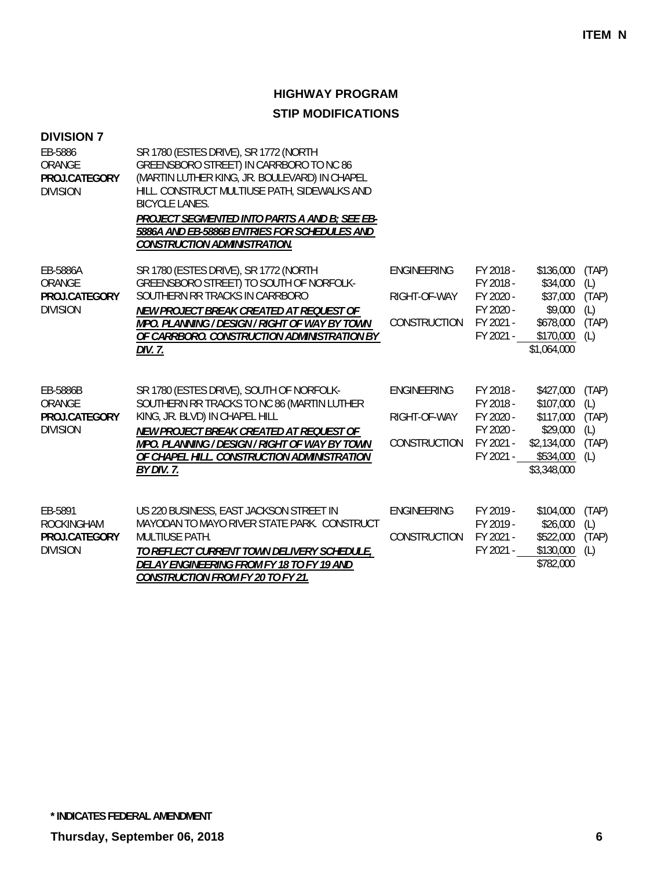| <b>DIVISION 7</b><br>EB-5886<br>ORANGE<br>PROJ.CATEGORY<br><b>DIVISION</b> | SR 1780 (ESTES DRIVE), SR 1772 (NORTH<br>GREENSBORO STREET) IN CARRBORO TO NC 86<br>(MARTIN LUTHER KING, JR. BOULEVARD) IN CHAPEL<br>HILL. CONSTRUCT MULTIUSE PATH, SIDEWALKS AND<br><b>BICYCLE LANES.</b><br>PROJECT SEGMENTED INTO PARTS A AND B; SEE EB-<br>5886A AND EB-5886B ENTRIES FOR SCHEDULES AND<br><b>CONSTRUCTION ADMINISTRATION.</b> |                                             |                                                                            |                                                                                            |                                              |
|----------------------------------------------------------------------------|----------------------------------------------------------------------------------------------------------------------------------------------------------------------------------------------------------------------------------------------------------------------------------------------------------------------------------------------------|---------------------------------------------|----------------------------------------------------------------------------|--------------------------------------------------------------------------------------------|----------------------------------------------|
| EB-5886A<br>ORANGE<br>PROJ.CATEGORY<br><b>DIVISION</b>                     | SR 1780 (ESTES DRIVE), SR 1772 (NORTH<br>GREENSBORO STREET) TO SOUTH OF NORFOLK-<br>SOUTHERN RR TRACKS IN CARRBORO<br>NEW PROJECT BREAK CREATED AT REQUEST OF<br>MPO. PLANNING / DESIGN / RIGHT OF WAY BY TOWN<br>OF CARRBORO. CONSTRUCTION ADMINISTRATION BY<br>DIV. 7.                                                                           | ENGINEERING<br>RIGHT-OF-WAY<br>CONSTRUCTION | FY 2018 -<br>FY 2018 -<br>FY 2020 -<br>FY 2020 -<br>FY 2021 -<br>FY 2021 - | \$136,000<br>\$34,000<br>\$37,000<br>\$9,000<br>\$678,000<br>\$170,000<br>\$1,064,000      | (TAP)<br>(L)<br>(TAP)<br>(L)<br>(TAP)<br>(L) |
| EB-5886B<br>ORANGE<br>PROJ.CATEGORY<br><b>DIVISION</b>                     | SR 1780 (ESTES DRIVE), SOUTH OF NORFOLK-<br>SOUTHERN RR TRACKS TO NC 86 (MARTIN LUTHER<br>KING, JR. BLVD) IN CHAPEL HILL<br>NEW PROJECT BREAK CREATED AT REQUEST OF<br>MPO. PLANNING / DESIGN / RIGHT OF WAY BY TOWN<br>OF CHAPEL HILL. CONSTRUCTION ADMINISTRATION<br>BY DIV. 7.                                                                  | ENGINEERING<br>RIGHT-OF-WAY<br>CONSTRUCTION | FY 2018 -<br>FY 2018 -<br>FY 2020 -<br>FY 2020 -<br>FY 2021 -<br>FY 2021 - | \$427,000<br>\$107,000<br>\$117,000<br>\$29,000<br>\$2,134,000<br>\$534,000<br>\$3,348,000 | (TAP)<br>(L)<br>(TAP)<br>(L)<br>(TAP)<br>(L) |
| EB-5891<br>ROCKINGHAM<br>PROJ.CATEGORY<br><b>DIVISION</b>                  | US 220 BUSINESS, EAST JACKSON STREET IN<br>MAYODAN TO MAYO RIVER STATE PARK. CONSTRUCT<br><b>MULTIUSE PATH.</b><br>TO REFLECT CURRENT TOWN DELIVERY SCHEDULE,<br>DELAY ENGINEERING FROM FY 18 TO FY 19 AND<br><b>CONSTRUCTION FROM FY 20 TO FY 21.</b>                                                                                             | ENGINEERING<br>CONSTRUCTION                 | FY 2019 -<br>FY 2019 -<br>FY 2021 -<br>FY 2021 -                           | \$104,000<br>\$26,000<br>\$522,000<br>\$130,000<br>\$782,000                               | (TAP)<br>(L)<br>(TAP)<br>(L)                 |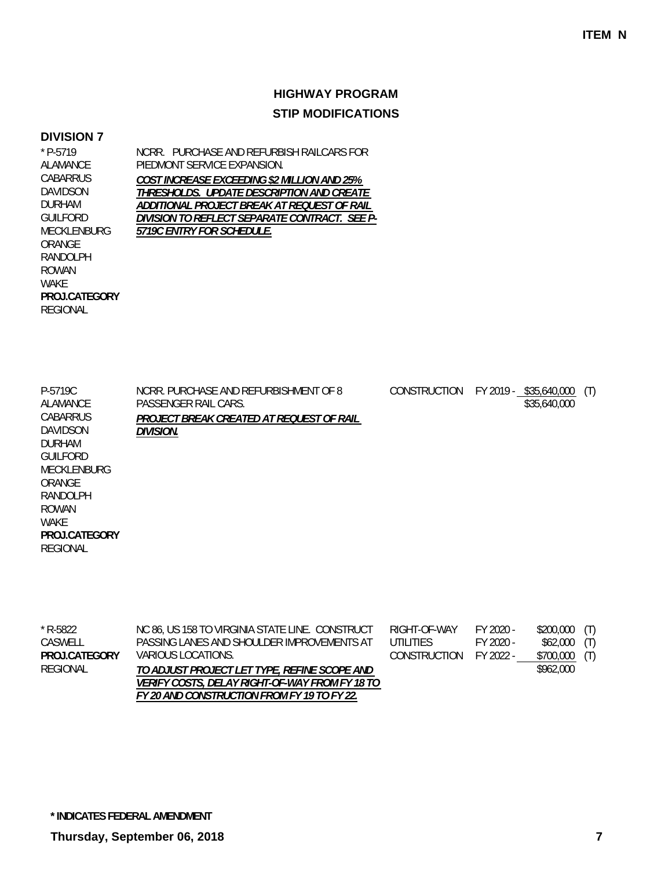#### **DIVISION 7**

\* P-5719 ALAMANCE **CABARRUS** DAVIDSON DURHAM GUILFORD MECKLENBURG ORANGE RANDOLPH ROWAN WAKE REGIONAL **PROJ.CATEGORY** NCRR. PURCHASE AND REFURBISH RAILCARS FOR PIEDMONT SERVICE EXPANSION. *COST INCREASE EXCEEDING \$2 MILLION AND 25% THRESHOLDS. UPDATE DESCRIPTION AND CREATE ADDITIONAL PROJECT BREAK AT REQUEST OF RAIL DIVISION TO REFLECT SEPARATE CONTRACT. SEE P-5719C ENTRY FOR SCHEDULE.*

| P-5719C<br>ALAMANCE<br>CABARRUS<br>DAVIDSON<br><b>DURHAM</b><br><b>GUILFORD</b><br>MECKLENBURG<br>ORANGE<br>RANDOLPH<br>ROWAN<br>WAKE<br>PROJ.CATEGORY | NCRR. PURCHASE AND REFURBISHMENT OF 8<br>PASSENGER RAIL CARS.<br>PROJECT BREAK CREATED AT REQUEST OF RAIL<br>Division. | <b>CONSTRUCTION</b> | FY 2019 - \$35,640,000<br>\$35,640,000 | (T) |
|--------------------------------------------------------------------------------------------------------------------------------------------------------|------------------------------------------------------------------------------------------------------------------------|---------------------|----------------------------------------|-----|
| REGIONAL                                                                                                                                               |                                                                                                                        |                     |                                        |     |

| * R-5822     | NC 86, US 158 TO VIRGINIA STATE LINE. CONSTRUCT       | RIGHT-OF-WAY           | FY 2020 - | $$200,000$ (T) |  |
|--------------|-------------------------------------------------------|------------------------|-----------|----------------|--|
| CASWELL      | PASSING LANES AND SHOULDER IMPROVEMENTS AT            | UTILITIES.             | FY 2020 - | $$62,000$ (T)  |  |
| PROJCATEGORY | VARIOUS LOCATIONS.                                    | CONSTRUCTION FY 2022 - |           | $$700,000$ (T) |  |
| REGIONAL     | TO ADJUST PROJECT LET TYPE, REFINE SCOPE AND          |                        |           | \$962.000      |  |
|              | <i>VERIFY COSTS. DELAY RIGHT-OF-WAY FROM FY 18 TO</i> |                        |           |                |  |
|              | FY 20 AND CONSTRUCTION FROM FY 19 TO FY 22.           |                        |           |                |  |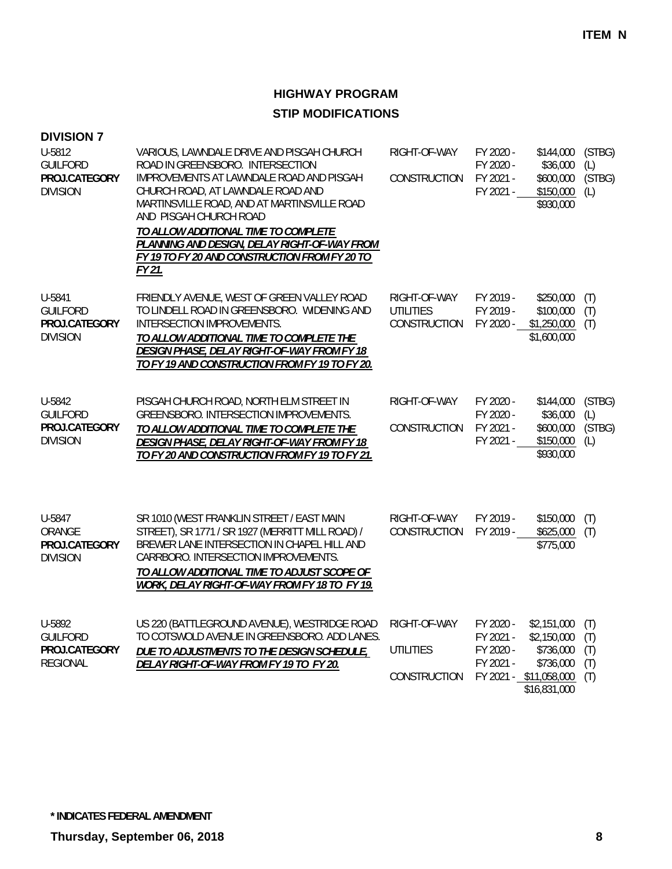| <b>DIVISION 7</b>                                             |                                                                                                                                                                                                                                                                                                                                                                                            |                                                  |                                                  |                                                                                                |                                 |
|---------------------------------------------------------------|--------------------------------------------------------------------------------------------------------------------------------------------------------------------------------------------------------------------------------------------------------------------------------------------------------------------------------------------------------------------------------------------|--------------------------------------------------|--------------------------------------------------|------------------------------------------------------------------------------------------------|---------------------------------|
| U-5812<br><b>GUILFORD</b><br>PROJ.CATEGORY<br><b>DIVISION</b> | VARIOUS, LAWNDALE DRIVE AND PISGAH CHURCH<br>ROAD IN GREENSBORO. INTERSECTION<br>IMPROVEMENTS AT LAWNDALE ROAD AND PISGAH<br>CHURCH ROAD, AT LAWNDALE ROAD AND<br>MARTINSVILLE ROAD, AND AT MARTINSVILLE ROAD<br>AND PISGAH CHURCH ROAD<br>TO ALLOW ADDITIONAL TIME TO COMPLETE<br>PLANNING AND DESIGN, DELAY RIGHT-OF-WAY FROM<br>FY 19 TO FY 20 AND CONSTRUCTION FROM FY 20 TO<br>FY 21. | RIGHT-OF-WAY<br>CONSTRUCTION                     | FY 2020 -<br>FY 2020 -<br>FY 2021 -<br>FY 2021 - | \$144,000<br>\$36,000<br>\$600,000<br>\$150,000<br>\$930,000                                   | (STBG)<br>(L)<br>(STBG)<br>(L)  |
| U-5841<br><b>GUILFORD</b><br>PROJ.CATEGORY<br><b>DIVISION</b> | FRIENDLY AVENUE, WEST OF GREEN VALLEY ROAD<br>TO LINDELL ROAD IN GREENSBORO. WIDENING AND<br>INTERSECTION IMPROVEMENTS.<br>TO ALLOW ADDITIONAL TIME TO COMPLETE THE<br>DESIGN PHASE, DELAY RIGHT-OF-WAY FROM FY 18<br>TO FY 19 AND CONSTRUCTION FROM FY 19 TO FY 20.                                                                                                                       | RIGHT-OF-WAY<br><b>UTILITIES</b><br>CONSTRUCTION | FY 2019 -<br>FY 2019 -<br>FY 2020 -              | \$250,000<br>\$100,000<br>\$1,250,000<br>\$1,600,000                                           | (T)<br>(T)<br>(T)               |
| U-5842<br><b>GUILFORD</b><br>PROJ.CATEGORY<br><b>DIVISION</b> | PISGAH CHURCH ROAD, NORTH ELM STREET IN<br>GREENSBORO. INTERSECTION IMPROVEMENTS.<br>TO ALLOW ADDITIONAL TIME TO COMPLETE THE<br><b>DESIGN PHASE, DELAY RIGHT-OF-WAY FROM FY 18</b><br>TO FY 20 AND CONSTRUCTION FROM FY 19 TO FY 21.                                                                                                                                                      | RIGHT-OF-WAY<br><b>CONSTRUCTION</b>              | FY 2020 -<br>FY 2020 -<br>FY 2021 -<br>FY 2021 - | \$144,000<br>\$36,000<br>\$600,000<br>\$150,000<br>\$930,000                                   | (STBG)<br>(L)<br>(STBG)<br>(L)  |
| U-5847<br>ORANGE<br>PROJ.CATEGORY<br><b>DIVISION</b>          | SR 1010 (WEST FRANKLIN STREET / EAST MAIN<br>STREET), SR 1771 / SR 1927 (MERRITT MILL ROAD) /<br>BREWER LANE INTERSECTION IN CHAPEL HILL AND<br>CARRBORO. INTERSECTION IMPROVEMENTS.<br>TO ALLOW ADDITIONAL TIME TO ADJUST SCOPE OF<br>WORK, DELAY RIGHT-OF-WAY FROM FY 18 TO FY 19.                                                                                                       | RIGHT-OF-WAY<br><b>CONSTRUCTION</b>              | FY 2019 -<br>FY 2019 -                           | \$150,000<br>\$625,000<br>\$775,000                                                            | (T)<br>(T)                      |
| U-5892<br><b>GUILFORD</b><br>PROJ.CATEGORY<br><b>REGIONAL</b> | US 220 (BATTLEGROUND AVENUE), WESTRIDGE ROAD<br>TO COTSWOLD AVENUE IN GREENSBORO. ADD LANES.<br>DUE TO ADJUSTMENTS TO THE DESIGN SCHEDULE,<br>DELAY RIGHT-OF-WAY FROM FY 19 TO FY 20.                                                                                                                                                                                                      | RIGHT-OF-WAY<br><b>UTILITIES</b><br>CONSTRUCTION | FY 2020 -<br>FY 2021 -<br>FY 2020 -<br>FY 2021 - | \$2,151,000<br>\$2,150,000<br>\$736,000<br>\$736,000<br>FY 2021 - \$11,058,000<br>\$16,831,000 | (T)<br>(T)<br>(T)<br>(T)<br>(T) |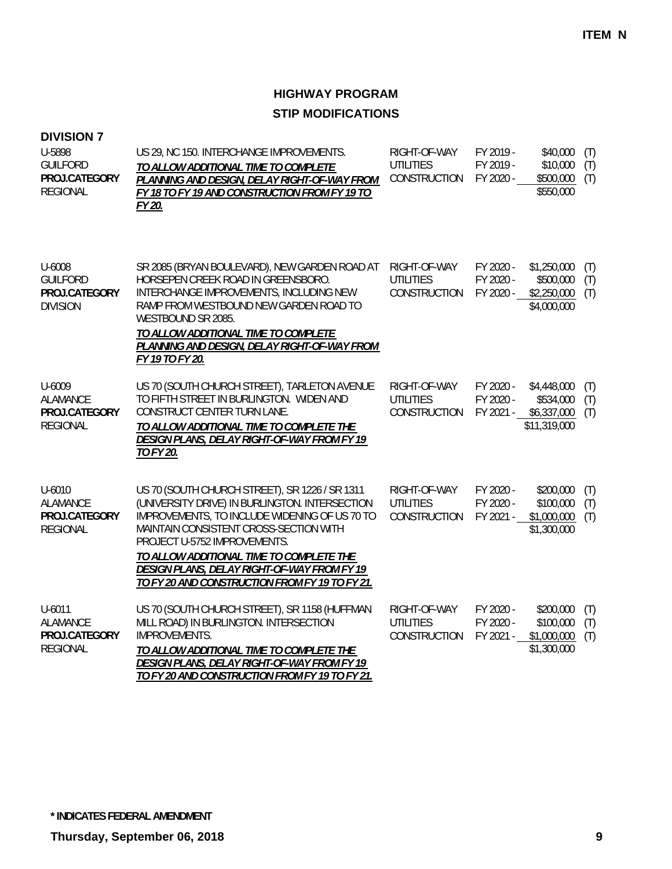| <b>DIVISION 7</b><br>U-5898<br><b>GUILFORD</b><br>PROJ.CATEGORY<br><b>REGIONAL</b> | US 29, NC 150. INTERCHANGE IMPROVEMENTS.<br>TO ALLOW ADDITIONAL TIME TO COMPLETE<br>PLANNING AND DESIGN, DELAY RIGHT-OF-WAY FROM<br>FY 18 TO FY 19 AND CONSTRUCTION FROM FY 19 TO<br>FY 20.                                                                                                                                                                              | RIGHT-OF-WAY<br><b>UTILITIES</b><br>CONSTRUCTION | FY 2019 -<br>FY 2019 -<br>FY 2020 - | \$40,000<br>\$10,000<br>\$500,000<br>\$550,000          | (T)<br>(T)<br>(T) |
|------------------------------------------------------------------------------------|--------------------------------------------------------------------------------------------------------------------------------------------------------------------------------------------------------------------------------------------------------------------------------------------------------------------------------------------------------------------------|--------------------------------------------------|-------------------------------------|---------------------------------------------------------|-------------------|
| U-6008<br><b>GUILFORD</b><br>PROJ.CATEGORY<br><b>DIVISION</b>                      | SR 2085 (BRYAN BOULEVARD), NEW GARDEN ROAD AT<br>HORSEPEN CREEK ROAD IN GREENSBORO.<br>INTERCHANGE IMPROVEMENTS, INCLUDING NEW<br>RAMP FROM WESTBOUND NEW GARDEN ROAD TO<br>WESTBOUND SR 2085.<br>TO ALLOW ADDITIONAL TIME TO COMPLETE<br>PLANNING AND DESIGN, DELAY RIGHT-OF-WAY FROM<br>FY 19 TO FY 20.                                                                | RIGHT-OF-WAY<br><b>UTILITIES</b><br>CONSTRUCTION | FY 2020 -<br>FY 2020 -<br>FY 2020 - | \$1,250,000<br>\$500,000<br>\$2,250,000<br>\$4,000,000  | (T)<br>(T)<br>(T) |
| U-6009<br><b>ALAMANCE</b><br>PROJ.CATEGORY<br><b>REGIONAL</b>                      | US 70 (SOUTH CHURCH STREET), TARLETON AVENUE<br>TO FIFTH STREET IN BURLINGTON. WIDEN AND<br>CONSTRUCT CENTER TURN LANE.<br>TO ALLOW ADDITIONAL TIME TO COMPLETE THE<br>DESIGN PLANS, DELAY RIGHT-OF-WAY FROM FY 19<br>TO FY 20.                                                                                                                                          | RIGHT-OF-WAY<br><b>UTILITIES</b><br>CONSTRUCTION | FY 2020 -<br>FY 2020 -<br>FY 2021 - | \$4,448,000<br>\$534,000<br>\$6,337,000<br>\$11,319,000 | (T)<br>(T)<br>(T) |
| $U - 6010$<br><b>ALAMANCE</b><br>PROJ.CATEGORY<br><b>REGIONAL</b>                  | US 70 (SOUTH CHURCH STREET), SR 1226 / SR 1311<br>(UNIVERSITY DRIVE) IN BURLINGTON. INTERSECTION<br>IMPROVEMENTS, TO INCLUDE WIDENING OF US 70 TO<br>MAINTAIN CONSISTENT CROSS-SECTION WITH<br>PROJECT U-5752 IMPROVEMENTS.<br>TO ALLOW ADDITIONAL TIME TO COMPLETE THE<br>DESIGN PLANS, DELAY RIGHT-OF-WAY FROM FY 19<br>TO FY 20 AND CONSTRUCTION FROM FY 19 TO FY 21. | RIGHT-OF-WAY<br><b>UTILITIES</b><br>CONSTRUCTION | FY 2020 -<br>FY 2020 -<br>FY 2021 - | \$200,000<br>\$100,000<br>\$1,000,000<br>\$1,300,000    | (T)<br>(T)<br>(T) |
| U-6011<br><b>ALAMANCE</b><br>PROJ.CATEGORY<br><b>REGIONAL</b>                      | US 70 (SOUTH CHURCH STREET), SR 1158 (HUFFMAN<br>MILL ROAD) IN BURLINGTON. INTERSECTION<br>IMPROVEMENTS.<br>TO ALLOW ADDITIONAL TIME TO COMPLETE THE<br>DESIGN PLANS, DELAY RIGHT-OF-WAY FROM FY 19<br>TO FY 20 AND CONSTRUCTION FROM FY 19 TO FY 21.                                                                                                                    | RIGHT-OF-WAY<br><b>UTILITIES</b><br>CONSTRUCTION | FY 2020 -<br>FY 2020 -<br>FY 2021 - | \$200,000<br>\$100,000<br>\$1,000,000<br>\$1,300,000    | (T)<br>(T)<br>(T) |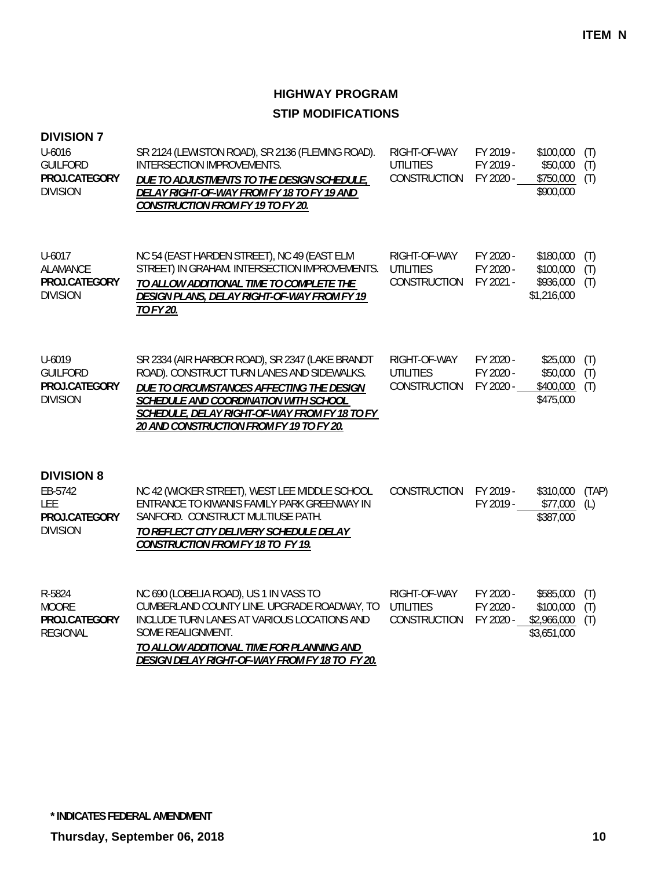| <b>DIVISION 7</b><br>U-6016<br><b>GUILFORD</b><br>PROJ.CATEGORY<br><b>DIVISION</b> | SR 2124 (LEWISTON ROAD), SR 2136 (FLEMING ROAD).<br>INTERSECTION IMPROVEMENTS.<br>DUE TO ADJUSTMENTS TO THE DESIGN SCHEDULE,<br>DELAY RIGHT-OF-WAY FROM FY 18 TO FY 19 AND<br><b>CONSTRUCTION FROM FY 19 TO FY 20.</b>                                                           | RIGHT-OF-WAY<br><b>UTILITIES</b><br><b>CONSTRUCTION</b> | FY 2019 -<br>FY 2019 -<br>FY 2020 - | \$100,000<br>\$50,000<br>\$750,000<br>\$900,000      | (T)<br>(T)<br>(T) |
|------------------------------------------------------------------------------------|----------------------------------------------------------------------------------------------------------------------------------------------------------------------------------------------------------------------------------------------------------------------------------|---------------------------------------------------------|-------------------------------------|------------------------------------------------------|-------------------|
| U-6017<br>ALAMANCE<br>PROJ.CATEGORY<br><b>DIVISION</b>                             | NC 54 (EAST HARDEN STREET), NC 49 (EAST ELM<br>STREET) IN GRAHAM. INTERSECTION IMPROVEMENTS.<br>TO ALLOW ADDITIONAL TIME TO COMPLETE THE<br>DESIGN PLANS, DELAY RIGHT-OF-WAY FROM FY 19<br>TO FY 20.                                                                             | RIGHT-OF-WAY<br><b>UTILITIES</b><br>CONSTRUCTION        | FY 2020 -<br>FY 2020 -<br>FY 2021 - | \$180,000<br>\$100,000<br>\$936,000<br>\$1,216,000   | (T)<br>(T)<br>(T) |
| U-6019<br><b>GUILFORD</b><br>PROJ.CATEGORY<br><b>DIVISION</b>                      | SR 2334 (AIR HARBOR ROAD), SR 2347 (LAKE BRANDT<br>ROAD). CONSTRUCT TURN LANES AND SIDEWALKS.<br>DUE TO CIRCUMSTANCES AFFECTING THE DESIGN<br>SCHEDULE AND COORDINATION WITH SCHOOL<br>SCHEDULE, DELAY RIGHT-OF-WAY FROM FY 18 TO FY<br>20 AND CONSTRUCTION FROM FY 19 TO FY 20. | RIGHT-OF-WAY<br><b>UTILITIES</b><br>CONSTRUCTION        | FY 2020 -<br>FY 2020 -<br>FY 2020 - | \$25,000<br>\$50,000<br>\$400,000<br>\$475,000       | (T)<br>(T)<br>(T) |
| <b>DIVISION 8</b><br>EB-5742<br><b>LEE</b><br>PROJ.CATEGORY<br><b>DIVISION</b>     | NC 42 (WICKER STREET), WEST LEE MIDDLE SCHOOL<br>ENTRANCE TO KIWANIS FAMILY PARK GREENWAY IN<br>SANFORD. CONSTRUCT MULTIUSE PATH.<br>TO REFLECT CITY DELIVERY SCHEDULE DELAY<br>CONSTRUCTION FROM FY 18 TO FY 19.                                                                | CONSTRUCTION                                            | FY 2019 -<br>FY 2019 -              | \$310,000<br>\$77,000<br>\$387,000                   | (TAP)<br>(L)      |
| R-5824<br><b>MOORE</b><br>PROJ.CATEGORY<br><b>REGIONAL</b>                         | NC 690 (LOBELIA ROAD), US 1 IN VASS TO<br>CUMBERLAND COUNTY LINE. UPGRADE ROADWAY, TO<br>INCLUDE TURN LANES AT VARIOUS LOCATIONS AND<br>SOME REALIGNMENT.<br>TO ALLOW ADDITIONAL TIME FOR PLANNING AND<br>DESIGN DELAY RIGHT-OF-WAY FROM FY 18 TO FY 20.                         | RIGHT-OF-WAY<br><b>UTILITIES</b><br><b>CONSTRUCTION</b> | FY 2020 -<br>FY 2020 -<br>FY 2020 - | \$585,000<br>\$100,000<br>\$2,966,000<br>\$3,651,000 | (T)<br>(T)<br>(T) |

**\* INDICATES FEDERAL AMENDMENT**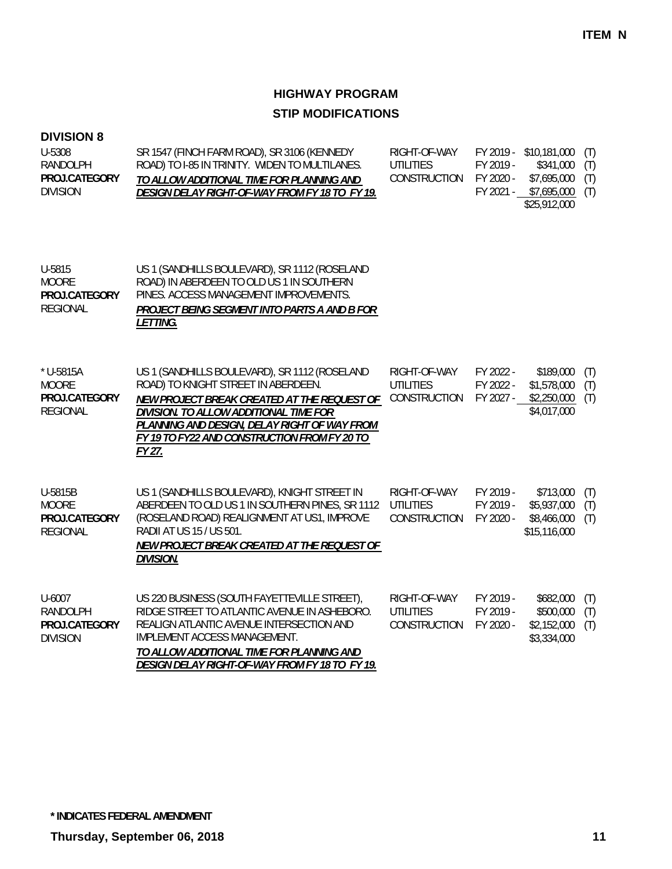### **DIVISION 8**

| U-5308          | SR 1547 (FINCH FARM ROAD), SR 3106 (KENNEDY    | RIGHT-OF-WAY           |           | FY 2019 - \$10,181,000 (T) |  |
|-----------------|------------------------------------------------|------------------------|-----------|----------------------------|--|
| RANDOLPH        | ROAD) TO 1-85 IN TRINITY. WIDEN TO MULTILANES. | UTILITIES              | FY 2019 - | $$341,000$ (T)             |  |
| PROJ.CATEGORY   | TO ALLOW ADDITIONAL TIME FOR PLANNING AND      | CONSTRUCTION FY 2020 - |           | $$7,695,000$ (T)           |  |
| <b>DIVISION</b> | DESIGN DELAY RIGHT-OF-WAY FROM FY 18 TO FY 19. |                        | FY 2021 - | \$7,695,000 (T)            |  |
|                 |                                                |                        |           | \$25.912.000               |  |

| U-5815<br><b>MOORE</b><br>PROJ.CATEGORY<br><b>REGIONAL</b>        | US 1 (SANDHILLS BOULEVARD), SR 1112 (ROSELAND<br>ROAD) IN ABERDEEN TO OLD US 1 IN SOUTHERN<br>PINES. ACCESS MANAGEMENT IMPROVEMENTS.<br>PROJECT BEING SEGMENT INTO PARTS A AND B FOR<br><i>LETTING.</i>                                                                                 |                                                  |                                     |                                                         |                   |
|-------------------------------------------------------------------|-----------------------------------------------------------------------------------------------------------------------------------------------------------------------------------------------------------------------------------------------------------------------------------------|--------------------------------------------------|-------------------------------------|---------------------------------------------------------|-------------------|
| * U-5815A<br><b>MOORE</b><br>PROJ.CATEGORY<br><b>REGIONAL</b>     | US 1 (SANDHILLS BOULEVARD), SR 1112 (ROSELAND<br>ROAD) TO KNIGHT STREET IN ABERDEEN.<br>NEW PROJECT BREAK CREATED AT THE REQUEST OF<br>DIVISION. TO ALLOW ADDITIONAL TIME FOR<br>PLANNING AND DESIGN, DELAY RIGHT OF WAY FROM<br>FY 19 TO FY22 AND CONSTRUCTION FROM FY 20 TO<br>FY 27. | RIGHT-OF-WAY<br><b>UTILITIES</b><br>CONSTRUCTION | FY 2022 -<br>FY 2022 -<br>FY 2027 - | \$189,000<br>\$1,578,000<br>\$2,250,000<br>\$4,017,000  | (T)<br>(T)<br>(T) |
| U-5815B<br><b>MOORE</b><br>PROJ.CATEGORY<br><b>REGIONAL</b>       | US 1 (SANDHILLS BOULEVARD), KNIGHT STREET IN<br>ABERDEEN TO OLD US 1 IN SOUTHERN PINES, SR 1112<br>(ROSELAND ROAD) REALIGNMENT AT US1, IMPROVE<br>RADII AT US 15 / US 501.<br>NEW PROJECT BREAK CREATED AT THE REQUEST OF<br><b>DIVISION.</b>                                           | RIGHT-OF-WAY<br>UTILITIES<br>CONSTRUCTION        | FY 2019 -<br>FY 2019 -<br>FY 2020 - | \$713,000<br>\$5,937,000<br>\$8,466,000<br>\$15,116,000 | (T)<br>(T)<br>(T) |
| $U - 6007$<br><b>RANDOLPH</b><br>PROJ.CATEGORY<br><b>DIVISION</b> | US 220 BUSINESS (SOUTH FAYETTEVILLE STREET),<br>RIDGE STREET TO ATLANTIC AVENUE IN ASHEBORO.<br>REALIGN ATLANTIC AVENUE INTERSECTION AND<br>IMPLEMENT ACCESS MANAGEMENT.<br>TO ALLOW ADDITIONAL TIME FOR PLANNING AND<br>DESIGN DELAY RIGHT-OF-WAY FROM FY 18 TO FY 19.                 | RIGHT-OF-WAY<br><b>UTILITIES</b><br>CONSTRUCTION | FY 2019 -<br>FY 2019 -<br>FY 2020 - | \$682,000<br>\$500,000<br>\$2,152,000<br>\$3,334,000    | (T)<br>(T)<br>(T) |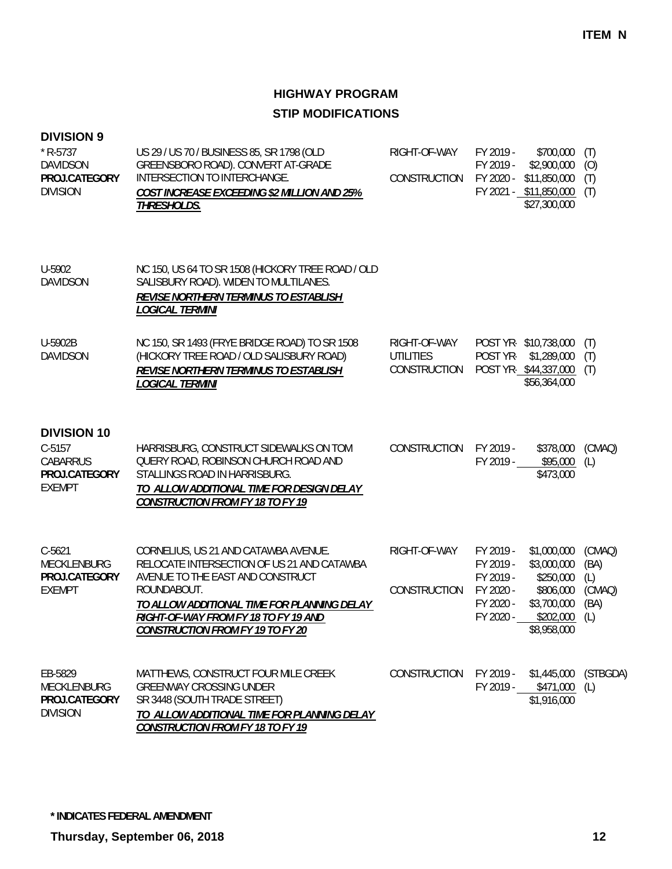| <b>DIVISION 9</b><br>$*$ R-5737<br><b>DAVIDSON</b><br>PROJ.CATEGORY<br><b>DIVISION</b> | US 29 / US 70 / BUSINESS 85, SR 1798 (OLD<br>GREENSBORO ROAD). CONVERT AT-GRADE<br>INTERSECTION TO INTERCHANGE.<br>COST INCREASE EXCEEDING \$2 MILLION AND 25%<br>THRESHOLDS.                                                                                           | RIGHT-OF-WAY<br>CONSTRUCTION                     | FY 2019 -<br>FY 2019 -<br>FY 2020 -                                        | \$700,000<br>\$2,900,000<br>\$11,850,000<br>FY 2021 - \$11,850,000<br>\$27,300,000              | (T)<br>(O)<br>(T)<br>(T)                       |
|----------------------------------------------------------------------------------------|-------------------------------------------------------------------------------------------------------------------------------------------------------------------------------------------------------------------------------------------------------------------------|--------------------------------------------------|----------------------------------------------------------------------------|-------------------------------------------------------------------------------------------------|------------------------------------------------|
| U-5902<br><b>DAVIDSON</b>                                                              | NC 150, US 64 TO SR 1508 (HICKORY TREE ROAD / OLD<br>SALISBURY ROAD). WIDEN TO MULTILANES.<br><b>REVISE NORTHERN TERMINUS TO ESTABLISH</b><br><b>LOGICAL TERMINI</b>                                                                                                    |                                                  |                                                                            |                                                                                                 |                                                |
| U-5902B<br><b>DAVIDSON</b>                                                             | NC 150, SR 1493 (FRYE BRIDGE ROAD) TO SR 1508<br>(HICKORY TREE ROAD / OLD SALISBURY ROAD)<br><b>REVISE NORTHERN TERMINUS TO ESTABLISH</b><br>LOGICAL TERMINI                                                                                                            | RIGHT-OF-WAY<br><b>UTILITIES</b><br>CONSTRUCTION | POST YR-                                                                   | POST YR-\$10,738,000<br>\$1,289,000<br>POST YR-\$44,337,000<br>\$56,364,000                     | (T)<br>(T)<br>(T)                              |
| <b>DIVISION 10</b><br>$C-5157$<br>CABARRUS<br>PROJ.CATEGORY<br><b>EXEMPT</b>           | HARRISBURG, CONSTRUCT SIDEWALKS ON TOM<br>QUERY ROAD, ROBINSON CHURCH ROAD AND<br>STALLINGS ROAD IN HARRISBURG.<br>TO ALLOW ADDITIONAL TIME FOR DESIGN DELAY<br><b>CONSTRUCTION FROM FY 18 TO FY 19</b>                                                                 | CONSTRUCTION                                     | FY 2019 -<br>FY 2019 -                                                     | \$378,000<br>\$95,000<br>\$473,000                                                              | (CMAQ)<br>(L)                                  |
| $C-5621$<br>MECKLENBURG<br>PROJ.CATEGORY<br><b>EXEMPT</b>                              | CORNELIUS, US 21 AND CATAWBA AVENUE.<br>RELOCATE INTERSECTION OF US 21 AND CATAWBA<br>AVENUE TO THE EAST AND CONSTRUCT<br>ROUNDABOUT.<br>TO ALLOW ADDITIONAL TIME FOR PLANNING DELAY<br>RIGHT-OF-WAY FROM FY 18 TO FY 19 AND<br><b>CONSTRUCTION FROM FY 19 TO FY 20</b> | RIGHT-OF-WAY<br>CONSTRUCTION                     | FY 2019 -<br>FY 2019 -<br>FY 2019 -<br>FY 2020 -<br>FY 2020 -<br>FY 2020 - | \$1,000,000<br>\$3,000,000<br>\$250,000<br>\$806,000<br>\$3,700,000<br>\$202,000<br>\$8,958,000 | (CMAQ)<br>(BA)<br>(L)<br>(CMAQ)<br>(BA)<br>(L) |
| EB-5829<br><b>MECKLENBURG</b><br>PROJ.CATEGORY<br><b>DIVISION</b>                      | MATTHEWS, CONSTRUCT FOUR MILE CREEK<br><b>GREENWAY CROSSING UNDER</b><br>SR 3448 (SOUTH TRADE STREET)<br>TO ALLOW ADDITIONAL TIME FOR PLANNING DELAY<br><b>CONSTRUCTION FROM FY 18 TO FY 19</b>                                                                         | <b>CONSTRUCTION</b>                              |                                                                            | FY 2019 - \$1,445,000 (STBGDA)<br>FY 2019 - \$471,000 (L)<br>\$1,916,000                        |                                                |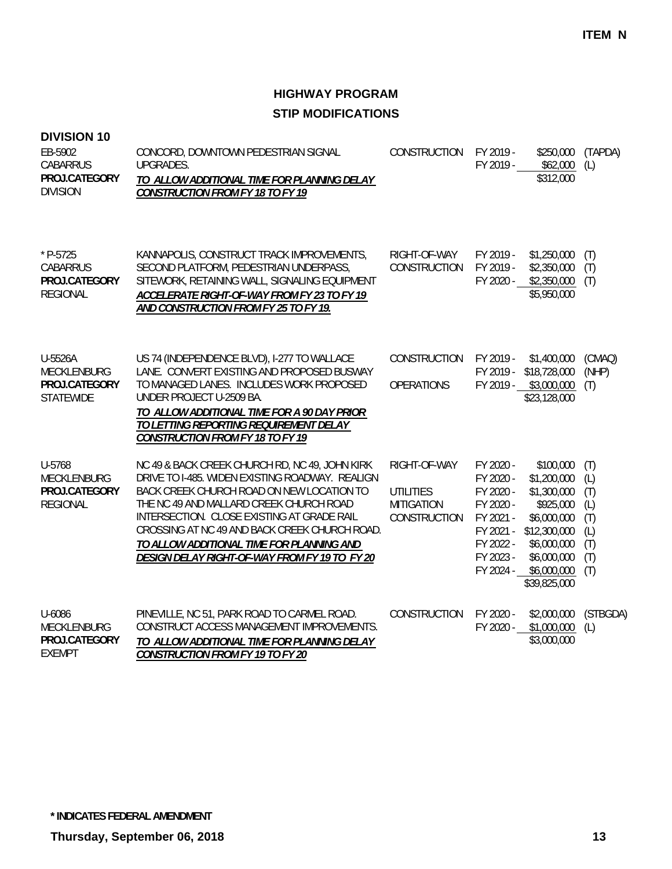| <b>DIVISION 10</b><br>EB-5902<br><b>CABARRUS</b><br>PROJ.CATEGORY<br><b>DIVISION</b> | CONCORD, DOWNTOWN PEDESTRIAN SIGNAL<br><b>UPGRADES.</b><br>TO ALLOW ADDITIONAL TIME FOR PLANNING DELAY<br><b>CONSTRUCTION FROM FY 18 TO FY 19</b>                                                                                                                                                                                                                                      | CONSTRUCTION                                                          | FY 2019 -<br>FY 2019 -                                                                               | \$250,000<br>\$62,000<br>\$312,000                                                                                                                         | (TAPDA)<br>(L)                                              |
|--------------------------------------------------------------------------------------|----------------------------------------------------------------------------------------------------------------------------------------------------------------------------------------------------------------------------------------------------------------------------------------------------------------------------------------------------------------------------------------|-----------------------------------------------------------------------|------------------------------------------------------------------------------------------------------|------------------------------------------------------------------------------------------------------------------------------------------------------------|-------------------------------------------------------------|
| * P-5725<br><b>CABARRUS</b><br>PROJ.CATEGORY<br><b>REGIONAL</b>                      | KANNAPOLIS, CONSTRUCT TRACK IMPROVEMENTS,<br>SECOND PLATFORM, PEDESTRIAN UNDERPASS,<br>SITEWORK, RETAINING WALL, SIGNALING EQUIPMENT<br>ACCELERATE RIGHT-OF-WAY FROM FY 23 TO FY 19<br>AND CONSTRUCTION FROM FY 25 TO FY 19.                                                                                                                                                           | RIGHT-OF-WAY<br>CONSTRUCTION                                          | FY 2019 -<br>FY 2019 -<br>FY 2020 -                                                                  | \$1,250,000<br>\$2,350,000<br>\$2,350,000<br>\$5,950,000                                                                                                   | (T)<br>(T)<br>(T)                                           |
| U-5526A<br><b>MECKLENBURG</b><br>PROJ.CATEGORY<br><b>STATEWIDE</b>                   | US 74 (INDEPENDENCE BLVD), I-277 TO WALLACE<br>LANE. CONVERT EXISTING AND PROPOSED BUSWAY<br>TO MANAGED LANES. INCLUDES WORK PROPOSED<br>UNDER PROJECT U-2509 BA.<br>TO ALLOW ADDITIONAL TIME FOR A 90 DAY PRIOR<br>TO LETTING REPORTING REQUIREMENT DELAY<br><b>CONSTRUCTION FROM FY 18 TO FY 19</b>                                                                                  | CONSTRUCTION<br><b>OPERATIONS</b>                                     | FY 2019 -<br>FY 2019 -                                                                               | \$1,400,000<br>\$18,728,000<br>FY 2019 - \$3,000,000<br>\$23,128,000                                                                                       | (CMAQ)<br>(NHP)<br>(T)                                      |
| U-5768<br><b>MECKLENBURG</b><br>PROJ.CATEGORY<br><b>REGIONAL</b>                     | NC 49 & BACK CREEK CHURCH RD, NC 49, JOHN KIRK<br>DRIVE TO I-485. WIDEN EXISTING ROADWAY. REALIGN<br>BACK CREEK CHURCH ROAD ON NEW LOCATION TO<br>THE NC 49 AND MALLARD CREEK CHURCH ROAD<br>INTERSECTION. CLOSE EXISTING AT GRADE RAIL<br>CROSSING AT NC 49 AND BACK CREEK CHURCH ROAD.<br>TO ALLOW ADDITIONAL TIME FOR PLANNING AND<br>DESIGN DELAY RIGHT-OF-WAY FROM FY 19 TO FY 20 | RIGHT-OF-WAY<br><b>UTILITIES</b><br><b>MITIGATION</b><br>CONSTRUCTION | FY 2020 -<br>FY 2020 -<br>FY 2020 -<br>FY 2020 -<br>FY 2021 -<br>FY 2021 -<br>FY 2022 -<br>FY 2023 - | \$100,000<br>\$1,200,000<br>\$1,300,000<br>\$925,000<br>\$6,000,000<br>\$12,300,000<br>\$6,000,000<br>\$6,000,000<br>FY 2024 - \$6,000,000<br>\$39,825,000 | (T)<br>(L)<br>(T)<br>(L)<br>(T)<br>(L)<br>(T)<br>(T)<br>(T) |
| U-6086<br>MECKLENBURG<br>PROJ.CATEGORY<br><b>EXEMPT</b>                              | PINEVILLE, NC 51, PARK ROAD TO CARMEL ROAD.<br>CONSTRUCT ACCESS MANAGEMENT IMPROVEMENTS.<br>TO ALLOW ADDITIONAL TIME FOR PLANNING DELAY<br><b>CONSTRUCTION FROM FY 19 TO FY 20</b>                                                                                                                                                                                                     | CONSTRUCTION                                                          | FY 2020 -<br>FY 2020 -                                                                               | \$2,000,000<br>\$1,000,000<br>\$3,000,000                                                                                                                  | (STBGDA)<br>(L)                                             |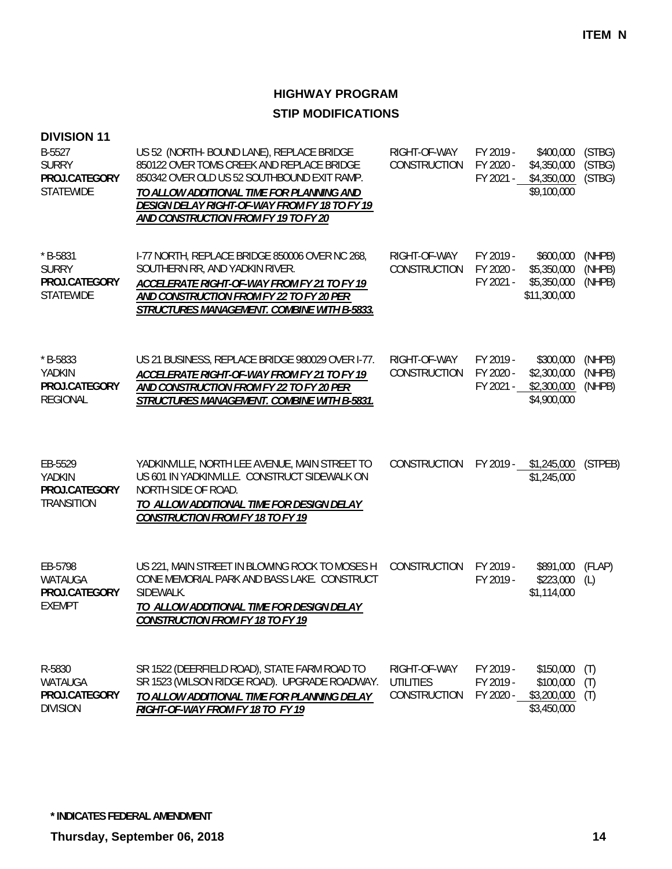| <b>DIVISION 11</b>                                              |                                                                                                                                                                                                                                                                             |                                                  |                                     |                                                         |                            |
|-----------------------------------------------------------------|-----------------------------------------------------------------------------------------------------------------------------------------------------------------------------------------------------------------------------------------------------------------------------|--------------------------------------------------|-------------------------------------|---------------------------------------------------------|----------------------------|
| B-5527<br><b>SURRY</b><br>PROJ.CATEGORY<br><b>STATEWIDE</b>     | US 52 (NORTH- BOUND LANE), REPLACE BRIDGE<br>850122 OVER TOMS CREEK AND REPLACE BRIDGE<br>850342 OVER OLD US 52 SOUTHBOUND EXIT RAMP.<br>TO ALLOW ADDITIONAL TIME FOR PLANNING AND<br>DESIGN DELAY RIGHT-OF-WAY FROM FY 18 TO FY 19<br>AND CONSTRUCTION FROM FY 19 TO FY 20 | RIGHT-OF-WAY<br>CONSTRUCTION                     | FY 2019 -<br>FY 2020 -<br>FY 2021 - | \$400,000<br>\$4,350,000<br>\$4,350,000<br>\$9,100,000  | (STBG)<br>(STBG)<br>(STBG) |
| $*$ B-5831<br><b>SURRY</b><br>PROJ.CATEGORY<br><b>STATEWIDE</b> | 1-77 NORTH, REPLACE BRIDGE 850006 OVER NC 268,<br>SOUTHERN RR, AND YADKIN RIVER.<br>ACCELERATE RIGHT-OF-WAY FROM FY 21 TO FY 19<br>AND CONSTRUCTION FROM FY 22 TO FY 20 PER<br>STRUCTURES MANAGEMENT. COMBINE WITH B-5833.                                                  | RIGHT-OF-WAY<br>CONSTRUCTION                     | FY 2019 -<br>FY 2020 -<br>FY 2021 - | \$600,000<br>\$5,350,000<br>\$5,350,000<br>\$11,300,000 | (NHPB)<br>(NHPB)<br>(NHPB) |
| $*$ B-5833<br>YADKIN<br>PROJ.CATEGORY<br><b>REGIONAL</b>        | US 21 BUSINESS, REPLACE BRIDGE 980029 OVER I-77.<br>ACCELERATE RIGHT-OF-WAY FROM FY 21 TO FY 19<br>AND CONSTRUCTION FROM FY 22 TO FY 20 PER<br>STRUCTURES MANAGEMENT. COMBINE WITH B-5831.                                                                                  | RIGHT-OF-WAY<br>CONSTRUCTION                     | FY 2019 -<br>FY 2020 -<br>FY 2021 - | \$300,000<br>\$2,300,000<br>\$2,300,000<br>\$4,900,000  | (NHPB)<br>(NHPB)<br>(NHPB) |
| EB-5529<br>YADKIN<br>PROJ.CATEGORY<br><b>TRANSITION</b>         | YADKINVILLE, NORTH LEE AVENUE, MAIN STREET TO<br>US 601 IN YADKINVILLE. CONSTRUCT SIDEWALK ON<br>NORTH SIDE OF ROAD.<br>TO ALLOW ADDITIONAL TIME FOR DESIGN DELAY<br><b>CONSTRUCTION FROM FY 18 TO FY 19</b>                                                                | CONSTRUCTION                                     |                                     | FY 2019 - \$1,245,000<br>\$1,245,000                    | (STPEB)                    |
| EB-5798<br>WATAUGA<br>PROJ.CATEGORY<br><b>EXEMPT</b>            | US 221, MAIN STREET IN BLOWING ROCK TO MOSES H<br>CONE MEMORIAL PARK AND BASS LAKE. CONSTRUCT<br>SIDEWALK.<br>TO ALLOW ADDITIONAL TIME FOR DESIGN DELAY<br><b>CONSTRUCTION FROM FY 18 TO FY 19</b>                                                                          | CONSTRUCTION                                     | FY 2019 -<br>FY 2019 -              | \$891,000<br>\$223,000<br>\$1,114,000                   | (FLAP)<br>(L)              |
| R-5830<br>WATAUGA<br>PROJ.CATEGORY<br><b>DIVISION</b>           | SR 1522 (DEERFIELD ROAD), STATE FARM ROAD TO<br>SR 1523 (WILSON RIDGE ROAD). UPGRADE ROADWAY.<br>TO ALLOW ADDITIONAL TIME FOR PLANNING DELAY<br>RIGHT-OF-WAY FROM FY 18 TO FY 19                                                                                            | RIGHT-OF-WAY<br><b>UTILITIES</b><br>CONSTRUCTION | FY 2019 -<br>FY 2019 -<br>FY 2020 - | \$150,000<br>\$100,000<br>\$3,200,000<br>\$3,450,000    | (T)<br>(T)<br>(T)          |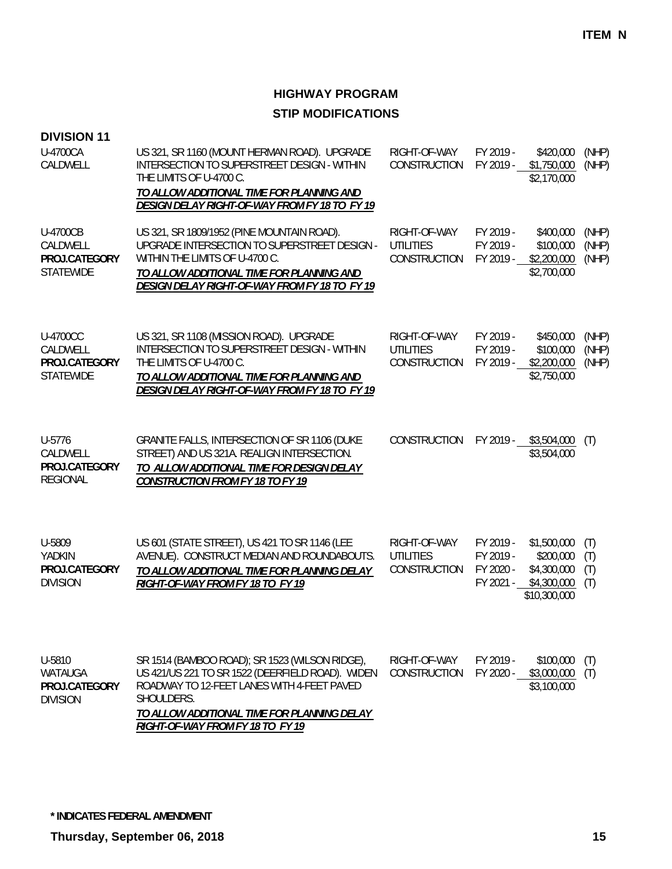| <b>DIVISION 11</b>                                               |                                                                                                                                                                                                                                                   |                                                  |                                                  |                                                                        |                          |
|------------------------------------------------------------------|---------------------------------------------------------------------------------------------------------------------------------------------------------------------------------------------------------------------------------------------------|--------------------------------------------------|--------------------------------------------------|------------------------------------------------------------------------|--------------------------|
| U-4700CA<br>CALDWELL                                             | US 321, SR 1160 (MOUNT HERMAN ROAD). UPGRADE<br>INTERSECTION TO SUPERSTREET DESIGN - WITHIN<br>THE LIMITS OF U-4700 C.<br>TO ALLOW ADDITIONAL TIME FOR PLANNING AND<br>DESIGN DELAY RIGHT-OF-WAY FROM FY 18 TO FY 19                              | RIGHT-OF-WAY<br>CONSTRUCTION                     | FY 2019 -<br>FY 2019 -                           | \$420,000<br>\$1,750,000<br>\$2,170,000                                | (NHP)<br>(NHP)           |
| <b>U-4700CB</b><br>CALDWELL<br>PROJ.CATEGORY<br><b>STATEWIDE</b> | US 321, SR 1809/1952 (PINE MOUNTAIN ROAD).<br>UPGRADE INTERSECTION TO SUPERSTREET DESIGN -<br>WITHIN THE LIMITS OF U-4700 C.<br>TO ALLOW ADDITIONAL TIME FOR PLANNING AND<br>DESIGN DELAY RIGHT-OF-WAY FROM FY 18 TO FY 19                        | RIGHT-OF-WAY<br><b>UTILITIES</b><br>CONSTRUCTION | FY 2019 -<br>FY 2019 -<br>FY 2019 -              | \$400,000<br>\$100,000<br>\$2,200,000<br>\$2,700,000                   | (NHP)<br>(NHP)<br>(NHP)  |
| <b>U-4700CC</b><br>CALDWELL<br>PROJ.CATEGORY<br><b>STATEWIDE</b> | US 321, SR 1108 (MISSION ROAD). UPGRADE<br>INTERSECTION TO SUPERSTREET DESIGN - WITHIN<br>THE LIMITS OF U-4700 C.<br>TO ALLOW ADDITIONAL TIME FOR PLANNING AND<br>DESIGN DELAY RIGHT-OF-WAY FROM FY 18 TO FY 19                                   | RIGHT-OF-WAY<br><b>UTILITIES</b><br>CONSTRUCTION | FY 2019 -<br>FY 2019 -<br>FY 2019 -              | \$450,000<br>\$100,000<br>\$2,200,000<br>\$2,750,000                   | (NHP)<br>(NHP)<br>(NHP)  |
| U-5776<br>CALDWELL<br>PROJ.CATEGORY<br><b>REGIONAL</b>           | GRANITE FALLS, INTERSECTION OF SR 1106 (DUKE<br>STREET) AND US 321A. REALIGN INTERSECTION.<br>TO ALLOW ADDITIONAL TIME FOR DESIGN DELAY<br><b>CONSTRUCTION FROM FY 18 TO FY 19</b>                                                                | CONSTRUCTION                                     |                                                  | FY 2019 - \$3,504,000<br>\$3,504,000                                   | (T)                      |
| U-5809<br>YADKIN<br>PROJ.CATEGORY<br><b>DIVISION</b>             | US 601 (STATE STREET), US 421 TO SR 1146 (LEE<br>AVENUE). CONSTRUCT MEDIAN AND ROUNDABOUTS.<br>TO ALLOW ADDITIONAL TIME FOR PLANNING DELAY<br>RIGHT-OF-WAY FROM FY 18 TO FY 19                                                                    | RIGHT-OF-WAY<br><b>UTILITIES</b><br>CONSTRUCTION | FY 2019 -<br>FY 2019 -<br>FY 2020 -<br>FY 2021 - | \$1,500,000<br>\$200,000<br>\$4,300,000<br>\$4,300,000<br>\$10,300,000 | (T)<br>(T)<br>(T)<br>(T) |
| U-5810<br>WATAUGA<br>PROJ.CATEGORY<br><b>DIVISION</b>            | SR 1514 (BAMBOO ROAD); SR 1523 (WILSON RIDGE),<br>US 421/US 221 TO SR 1522 (DEERFIELD ROAD). WIDEN<br>ROADWAY TO 12-FEET LANES WITH 4-FEET PAVED<br>SHOULDERS.<br>TO ALLOW ADDITIONAL TIME FOR PLANNING DELAY<br>RIGHT-OF-WAY FROM FY 18 TO FY 19 | RIGHT-OF-WAY<br><b>CONSTRUCTION</b>              | FY 2019 -<br>FY 2020 -                           | \$100,000<br>\$3,000,000<br>\$3,100,000                                | (T)<br>(T)               |

**\* INDICATES FEDERAL AMENDMENT**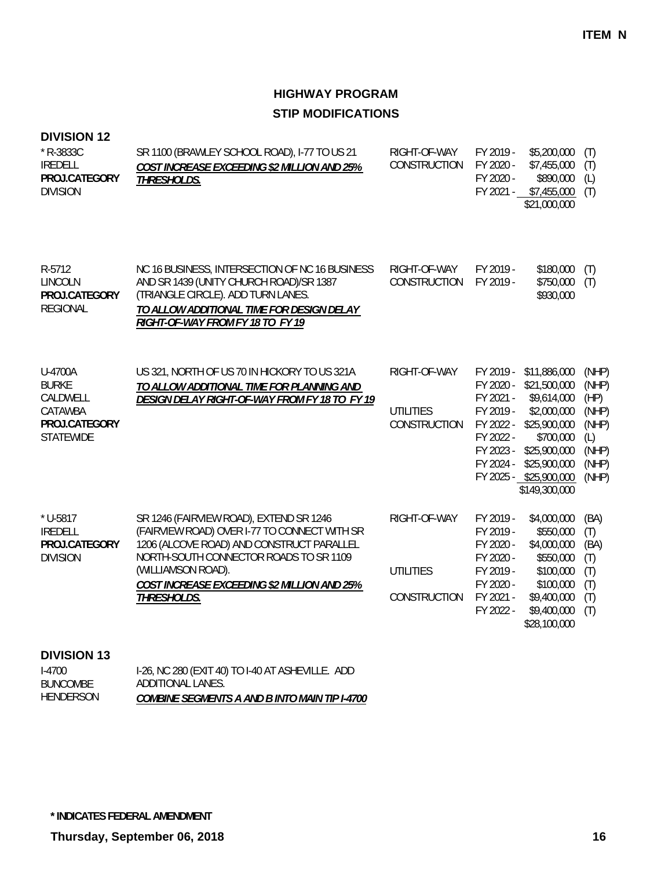### **DIVISION 12**

| * R-3833C<br><b>IREDELL</b><br>PROJ.CATEGORY<br><b>DIVISION</b>                     | SR 1100 (BRAWLEY SCHOOL ROAD), I-77 TO US 21<br>COST INCREASE EXCEEDING \$2 MILLION AND 25%<br>THRESHOLDS.                                                                                                                                                         | RIGHT-OF-WAY<br>CONSTRUCTION                     | FY 2019 -<br>FY 2020 -<br>FY 2020 -<br>FY 2021 -                                                     | \$5,200,000<br>\$7,455,000<br>\$890,000<br>\$7,455,000<br>\$21,000,000                                                                                             | (T)<br>(T)<br>(L)<br>(T)                                                   |
|-------------------------------------------------------------------------------------|--------------------------------------------------------------------------------------------------------------------------------------------------------------------------------------------------------------------------------------------------------------------|--------------------------------------------------|------------------------------------------------------------------------------------------------------|--------------------------------------------------------------------------------------------------------------------------------------------------------------------|----------------------------------------------------------------------------|
| R-5712<br><b>LINCOLN</b><br>PROJ.CATEGORY<br><b>REGIONAL</b>                        | NC 16 BUSINESS, INTERSECTION OF NC 16 BUSINESS<br>AND SR 1439 (UNITY CHURCH ROAD)/SR 1387<br>(TRIANGLE CIRCLE). ADD TURN LANES.<br>TO ALLOW ADDITIONAL TIME FOR DESIGN DELAY<br>RIGHT-OF-WAY FROM FY 18 TO FY 19                                                   | RIGHT-OF-WAY<br>CONSTRUCTION                     | FY 2019 -<br>FY 2019 -                                                                               | \$180,000<br>\$750,000<br>\$930,000                                                                                                                                | (T)<br>(T)                                                                 |
| U-4700A<br><b>BURKE</b><br>CALDWELL<br>CATAWBA<br>PROJ.CATEGORY<br><b>STATEWIDE</b> | US 321, NORTH OF US 70 IN HICKORY TO US 321A<br>TO ALLOW ADDITIONAL TIME FOR PLANNING AND<br>DESIGN DELAY RIGHT-OF-WAY FROM FY 18 TO FY 19                                                                                                                         | RIGHT-OF-WAY<br><b>UTILITIES</b><br>CONSTRUCTION | FY 2019 -<br>FY 2020 -<br>FY 2021 -<br>FY 2019 -<br>FY 2022 -<br>FY 2022 -<br>FY 2023 -<br>FY 2024 - | \$11,886,000<br>\$21,500,000<br>\$9,614,000<br>\$2,000,000<br>\$25,900,000<br>\$700,000<br>\$25,900,000<br>\$25,900,000<br>FY 2025 - \$25,900,000<br>\$149,300,000 | (NHP)<br>(NHP)<br>(HP)<br>(NHP)<br>(NHP)<br>(L)<br>(NHP)<br>(NHP)<br>(NHP) |
| $*$ U-5817<br><b>IREDELL</b><br>PROJ.CATEGORY<br><b>DIVISION</b>                    | SR 1246 (FAIRVIEW ROAD), EXTEND SR 1246<br>(FAIRVIEW ROAD) OVER I-77 TO CONNECT WITH SR<br>1206 (ALCOVE ROAD) AND CONSTRUCT PARALLEL<br>NORTH-SOUTH CONNECTOR ROADS TO SR 1109<br>(WILLIAMSON ROAD).<br>COST INCREASE EXCEEDING \$2 MILLION AND 25%<br>THRESHOLDS. | RIGHT-OF-WAY<br><b>UTILITIES</b><br>CONSTRUCTION | FY 2019 -<br>FY 2019 -<br>FY 2020 -<br>FY 2020 -<br>FY 2019 -<br>FY 2020 -<br>FY 2021 -<br>FY 2022 - | \$4,000,000<br>\$550,000<br>\$4,000,000<br>\$550,000<br>\$100,000<br>\$100,000<br>\$9,400,000<br>\$9,400,000<br>\$28,100,000                                       | (BA)<br>(T)<br>(BA)<br>(T)<br>(T)<br>(T)<br>(T)<br>(T)                     |

### **DIVISION 13**

| I-4700          | I-26, NC 280 (EXIT 40) TO I-40 AT ASHEVILLE. ADD     |
|-----------------|------------------------------------------------------|
| <b>BUNCOMBE</b> | ADDITIONAL LANES.                                    |
| HENDERSON       | <b>COMBINE SEGMENTS A AND B INTO MAIN TIP I-4700</b> |

**\* INDICATES FEDERAL AMENDMENT**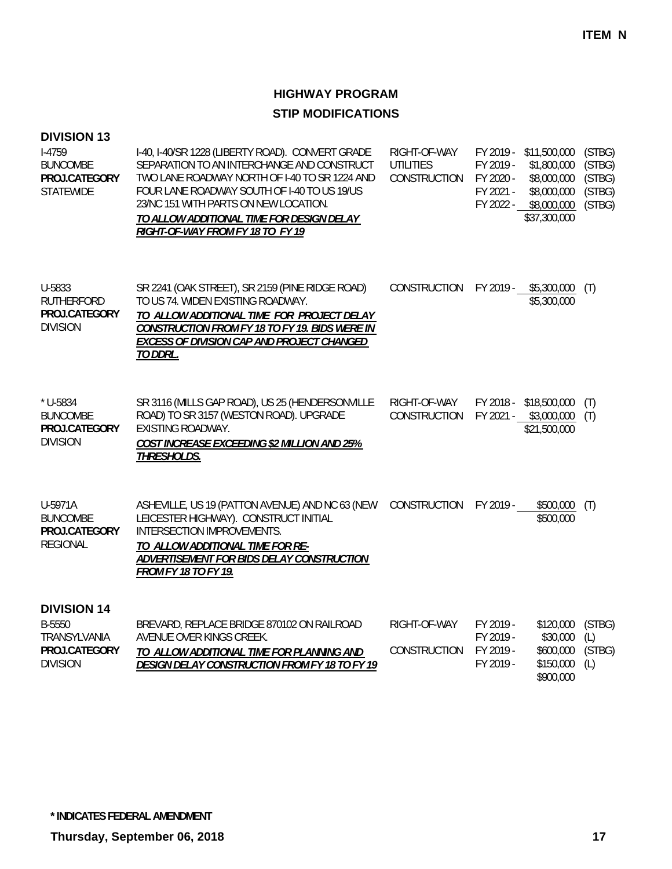| <b>DIVISION 13</b><br>$I-4759$<br><b>BUNCOMBE</b><br>PROJ.CATEGORY<br><b>STATEWIDE</b> | I-40, I-40/SR 1228 (LIBERTY ROAD). CONVERT GRADE<br>RIGHT-OF-WAY<br>FY 2019 - \$11,500,000<br>SEPARATION TO AN INTERCHANGE AND CONSTRUCT<br>UTILITIES<br>FY 2019 -<br>TWO LANE ROADWAY NORTH OF I-40 TO SR 1224 AND<br><b>CONSTRUCTION</b><br>FY 2020 -<br>FOUR LANE ROADWAY SOUTH OF I-40 TO US 19/US<br>FY 2021 -<br>23/NC 151 WITH PARTS ON NEW LOCATION.<br>FY 2022 - \$8,000,000<br>TO ALLOW ADDITIONAL TIME FOR DESIGN DELAY<br>RIGHT-OF-WAY FROM FY 18 TO FY 19 |                              | \$1,800,000<br>\$8,000,000<br>\$8,000,000<br>\$37,300,000 | (STBG)<br>(STBG)<br>(STBG)<br>(STBG)<br>(STBG)                  |                                |
|----------------------------------------------------------------------------------------|------------------------------------------------------------------------------------------------------------------------------------------------------------------------------------------------------------------------------------------------------------------------------------------------------------------------------------------------------------------------------------------------------------------------------------------------------------------------|------------------------------|-----------------------------------------------------------|-----------------------------------------------------------------|--------------------------------|
| U-5833<br><b>RUTHERFORD</b><br>PROJ.CATEGORY<br><b>DIVISION</b>                        | SR 2241 (OAK STREET), SR 2159 (PINE RIDGE ROAD)<br>TO US 74. WIDEN EXISTING ROADWAY.<br>TO ALLOW ADDITIONAL TIME FOR PROJECT DELAY<br>CONSTRUCTION FROM FY 18 TO FY 19. BIDS WERE IN<br>EXCESS OF DIVISION CAP AND PROJECT CHANGED<br>TO DDRL.                                                                                                                                                                                                                         | <b>CONSTRUCTION</b>          |                                                           | FY 2019 - \$5,300,000<br>\$5,300,000                            | (T)                            |
| $*$ U-5834<br><b>BUNCOMBE</b><br>PROJ.CATEGORY<br><b>DIVISION</b>                      | SR 3116 (MILLS GAP ROAD), US 25 (HENDERSONVILLE<br>ROAD) TO SR 3157 (WESTON ROAD). UPGRADE<br><b>EXISTING ROADWAY.</b><br>COST INCREASE EXCEEDING \$2 MILLION AND 25%<br>THRESHOLDS.                                                                                                                                                                                                                                                                                   | RIGHT-OF-WAY<br>CONSTRUCTION |                                                           | FY 2018 - \$18,500,000<br>FY 2021 - \$3,000,000<br>\$21,500,000 | (T)<br>(T)                     |
| U-5971A<br><b>BUNCOMBE</b><br>PROJ.CATEGORY<br><b>REGIONAL</b>                         | ASHEVILLE, US 19 (PATTON AVENUE) AND NC 63 (NEW<br>LEICESTER HIGHWAY). CONSTRUCT INITIAL<br>INTERSECTION IMPROVEMENTS.<br>TO ALLOW ADDITIONAL TIME FOR RE-<br>ADVERTISEMENT FOR BIDS DELAY CONSTRUCTION<br><b>FROM FY 18 TO FY 19.</b>                                                                                                                                                                                                                                 | CONSTRUCTION                 | FY 2019 -                                                 | \$500,000<br>\$500,000                                          | (T)                            |
| <b>DIVISION 14</b><br>B-5550<br>TRANSYLVANIA<br>PROJ.CATEGORY<br><b>DIVISION</b>       | BREVARD, REPLACE BRIDGE 870102 ON RAILROAD<br>AVENUE OVER KINGS CREEK.<br>TO ALLOW ADDITIONAL TIME FOR PLANNING AND<br><b>DESIGN DELAY CONSTRUCTION FROM FY 18 TO FY 19</b>                                                                                                                                                                                                                                                                                            | RIGHT-OF-WAY<br>CONSTRUCTION | FY 2019 -<br>FY 2019 -<br>FY 2019 -<br>FY 2019 -          | \$120,000<br>\$30,000<br>\$600,000<br>\$150,000<br>\$900,000    | (STBG)<br>(L)<br>(STBG)<br>(L) |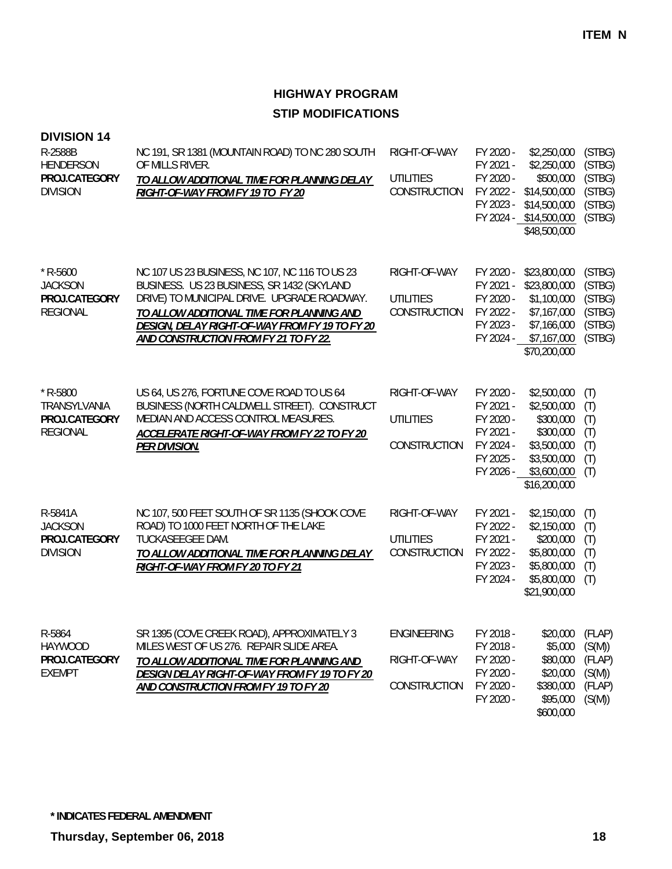| <b>DIVISION 14</b><br>R-2588B<br><b>HENDERSON</b><br>PROJ.CATEGORY<br><b>DIVISION</b> | NC 191, SR 1381 (MOUNTAIN ROAD) TO NC 280 SOUTH<br>OF MILLS RIVER.<br>TO ALLOW ADDITIONAL TIME FOR PLANNING DELAY<br>RIGHT-OF-WAY FROM FY 19 TO FY 20                                                                                                                               | RIGHT-OF-WAY<br><b>UTILITIES</b><br>CONSTRUCTION   | FY 2020 -<br>FY 2021 -<br>FY 2020 -<br>FY 2022 -<br>FY 2023 -                           | \$2,250,000<br>\$2,250,000<br>\$500,000<br>\$14,500,000<br>\$14,500,000<br>FY 2024 - \$14,500,000<br>\$48,500,000 | (STBG)<br>(STBG)<br>(STBG)<br>(STBG)<br>(STBG)<br>(STBG) |
|---------------------------------------------------------------------------------------|-------------------------------------------------------------------------------------------------------------------------------------------------------------------------------------------------------------------------------------------------------------------------------------|----------------------------------------------------|-----------------------------------------------------------------------------------------|-------------------------------------------------------------------------------------------------------------------|----------------------------------------------------------|
| $*$ R-5600<br><b>JACKSON</b><br>PROJ.CATEGORY<br><b>REGIONAL</b>                      | NC 107 US 23 BUSINESS, NC 107, NC 116 TO US 23<br>BUSINESS. US 23 BUSINESS, SR 1432 (SKYLAND<br>DRIVE) TO MUNICIPAL DRIVE. UPGRADE ROADWAY.<br>TO ALLOW ADDITIONAL TIME FOR PLANNING AND<br>DESIGN, DELAY RIGHT-OF-WAY FROM FY 19 TO FY 20<br>AND CONSTRUCTION FROM FY 21 TO FY 22. | RIGHT-OF-WAY<br><b>UTILITIES</b><br>CONSTRUCTION   | FY 2020 -<br>FY 2021 -<br>FY 2020 -<br>FY 2022 -<br>FY 2023 -<br>FY 2024 -              | \$23,800,000<br>\$23,800,000<br>\$1,100,000<br>\$7,167,000<br>\$7,166,000<br>\$7,167,000<br>\$70,200,000          | (STBG)<br>(STBG)<br>(STBG)<br>(STBG)<br>(STBG)<br>(STBG) |
| $*$ R-5800<br>TRANSYLVANIA<br>PROJ.CATEGORY<br><b>REGIONAL</b>                        | US 64, US 276, FORTUNE COVE ROAD TO US 64<br>BUSINESS (NORTH CALDWELL STREET). CONSTRUCT<br>MEDIAN AND ACCESS CONTROL MEASURES.<br>ACCELERATE RIGHT-OF-WAY FROM FY 22 TO FY 20<br>PER DIVISION.                                                                                     | RIGHT-OF-WAY<br><b>UTILITIES</b><br>CONSTRUCTION   | FY 2020 -<br>FY 2021 -<br>FY 2020 -<br>FY 2021 -<br>FY 2024 -<br>FY 2025 -<br>FY 2026 - | \$2,500,000<br>\$2,500,000<br>\$300,000<br>\$300,000<br>\$3,500,000<br>\$3,500,000<br>\$3,600,000<br>\$16,200,000 | (T)<br>(T)<br>(T)<br>(T)<br>(T)<br>(T)<br>(T)            |
| R-5841A<br><b>JACKSON</b><br>PROJ.CATEGORY<br><b>DIVISION</b>                         | NC 107, 500 FEET SOUTH OF SR 1135 (SHOOK COVE<br>ROAD) TO 1000 FEET NORTH OF THE LAKE<br>TUCKASEEGEE DAM.<br>TO ALLOW ADDITIONAL TIME FOR PLANNING DELAY<br>RIGHT-OF-WAY FROM FY 20 TO FY 21                                                                                        | RIGHT-OF-WAY<br><b>UTILITIES</b><br>CONSTRUCTION   | FY 2021 -<br>FY 2022 -<br>FY 2021 -<br>FY 2022 -<br>FY 2023 -<br>FY 2024 -              | \$2,150,000<br>\$2,150,000<br>\$200,000<br>\$5,800,000<br>\$5,800,000<br>\$5,800,000<br>\$21,900,000              | (T)<br>(T)<br>(T)<br>(T)<br>(T)<br>(T)                   |
| R-5864<br><b>HAYWOOD</b><br>PROJ.CATEGORY<br><b>EXEMPT</b>                            | SR 1395 (COVE CREEK ROAD), APPROXIMATELY 3<br>MILES WEST OF US 276. REPAIR SLIDE AREA.<br>TO ALLOW ADDITIONAL TIME FOR PLANNING AND<br>DESIGN DELAY RIGHT-OF-WAY FROM FY 19 TO FY 20<br>AND CONSTRUCTION FROM FY 19 TO FY 20                                                        | <b>ENGINEERING</b><br>RIGHT-OF-WAY<br>CONSTRUCTION | FY 2018 -<br>FY 2018 -<br>FY 2020 -<br>FY 2020 -<br>FY 2020 -<br>FY 2020 -              | \$20,000<br>\$5,000<br>\$80,000<br>\$20,000<br>\$380,000<br>\$95,000<br>\$600,000                                 | (FLAP)<br>(S(M))<br>(FLAP)<br>(S(M))<br>(FLAP)<br>(S(M)) |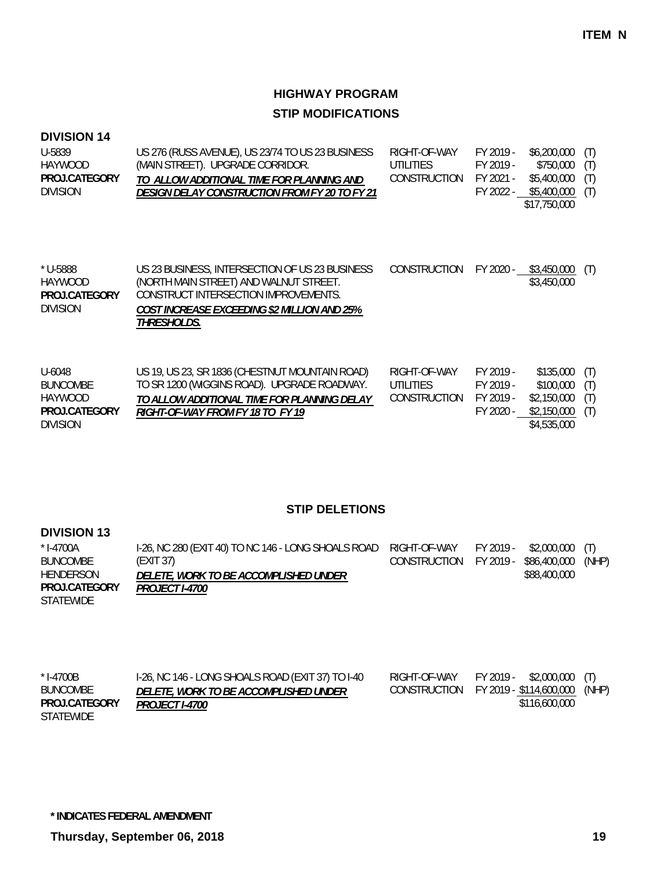### **DIVISION 14**

| $$6,200,000$ (T)                         |
|------------------------------------------|
| (T)                                      |
| (T)                                      |
| $$5,400,000$ (T)                         |
|                                          |
|                                          |
| \$750.000<br>\$5,400,000<br>\$17,750,000 |

| * U-5888<br>HAYWOOD | US 23 BUSINESS, INTERSECTION OF US 23 BUSINESS                                 | <b>CONSTRUCTION</b> | FY 2020 - | \$3,450,000      |
|---------------------|--------------------------------------------------------------------------------|---------------------|-----------|------------------|
| PROJ.CATEGORY       | (NORTH MAIN STREET) AND WALNUT STREET.<br>CONSTRUCT INTERSECTION IMPROVEMENTS. |                     |           | \$3,450,000      |
| <b>DIVISION</b>     | <b>COST INCREASE EXCEEDING \$2 MILLION AND 25%</b><br>THRESHOLDS.              |                     |           |                  |
|                     |                                                                                |                     |           |                  |
| $LL_{AOM}$          | HS 10 HS 23 SR 1836 (CHESTNILLT MOUNTAIN ROAD)                                 | RIGHT-OF-WAY        | EV 2010.  | (T)<br>\$135.000 |

| U-6048          | US 19, US 23, SR 1836 (CHESTNUT MOUNTAIN ROAD) | RIGHT-OF-WAY | FY 2019 - | $$135,000$ (T)  |  |
|-----------------|------------------------------------------------|--------------|-----------|-----------------|--|
| BUNCOMBE        | TO SR 1200 (WIGGINS ROAD). UPGRADE ROADWAY.    | UTILITIES    | FY 2019 - | $$100,000$ (T)  |  |
| HAYWOOD         | TO ALLOW ADDITIONAL TIME FOR PLANNING DELAY    | CONSTRUCTION | FY 2019 - | \$2,150,000 (T) |  |
| PROJ.CATEGORY   | RIGHT-OF-WAY FROM FY 18 TO FY 19               |              | FY 2020 - | \$2,150,000 (T) |  |
| <b>DIVISION</b> |                                                |              |           | \$4,535,000     |  |

#### **STIP DELETIONS**

#### **DIVISION 13**

| * I-4700A        | 1-26, NC 280 (EXIT 40) TO NC 146 - LONG SHOALS ROAD RIGHT-OF-WAY |                                     | FY 2019 - \$2.000.000 (T) |       |
|------------------|------------------------------------------------------------------|-------------------------------------|---------------------------|-------|
| <b>BUNCOMBE</b>  | (EXIT 37)                                                        | CONSTRUCTION FY 2019 - \$86,400,000 |                           | (NHP) |
| HENDERSON        | DELETE, WORK TO BE ACCOMPLISHED UNDER                            |                                     | \$88,400,000              |       |
| PROJ.CATEGORY    | <i>PROJECT I-4700</i>                                            |                                     |                           |       |
| <b>STATEWIDE</b> |                                                                  |                                     |                           |       |

| * I-4700B<br><b>BUNCOMBE</b><br>PROJ.CATEGORY | 1-26, NC 146 - LONG SHOALS ROAD (EXIT 37) TO 1-40<br><i>DELETE, WORK TO BE ACCOMPLISHED UNDER</i><br><i>PROJECT I-4700</i> | RIGHT-OF-WAY | FY 2019 - \$2,000,000 (T)<br>CONSTRUCTION FY 2019 - \$114,600,000 (NHP)<br>\$116,600,000 |  |
|-----------------------------------------------|----------------------------------------------------------------------------------------------------------------------------|--------------|------------------------------------------------------------------------------------------|--|
| STATEWIDE                                     |                                                                                                                            |              |                                                                                          |  |

**\* INDICATES FEDERAL AMENDMENT**